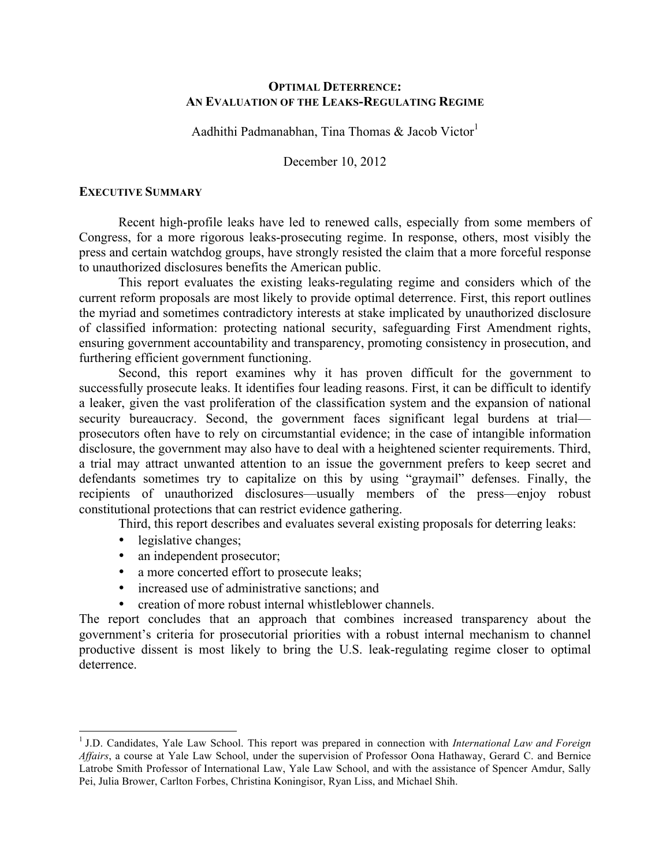## **OPTIMAL DETERRENCE: AN EVALUATION OF THE LEAKS-REGULATING REGIME**

Aadhithi Padmanabhan, Tina Thomas & Jacob Victor $<sup>1</sup>$ </sup>

December 10, 2012

#### **EXECUTIVE SUMMARY**

Recent high-profile leaks have led to renewed calls, especially from some members of Congress, for a more rigorous leaks-prosecuting regime. In response, others, most visibly the press and certain watchdog groups, have strongly resisted the claim that a more forceful response to unauthorized disclosures benefits the American public.

This report evaluates the existing leaks-regulating regime and considers which of the current reform proposals are most likely to provide optimal deterrence. First, this report outlines the myriad and sometimes contradictory interests at stake implicated by unauthorized disclosure of classified information: protecting national security, safeguarding First Amendment rights, ensuring government accountability and transparency, promoting consistency in prosecution, and furthering efficient government functioning.

Second, this report examines why it has proven difficult for the government to successfully prosecute leaks. It identifies four leading reasons. First, it can be difficult to identify a leaker, given the vast proliferation of the classification system and the expansion of national security bureaucracy. Second, the government faces significant legal burdens at trial prosecutors often have to rely on circumstantial evidence; in the case of intangible information disclosure, the government may also have to deal with a heightened scienter requirements. Third, a trial may attract unwanted attention to an issue the government prefers to keep secret and defendants sometimes try to capitalize on this by using "graymail" defenses. Finally, the recipients of unauthorized disclosures—usually members of the press—enjoy robust constitutional protections that can restrict evidence gathering.

Third, this report describes and evaluates several existing proposals for deterring leaks:

- legislative changes;
- an independent prosecutor;
- a more concerted effort to prosecute leaks;
- increased use of administrative sanctions; and
- creation of more robust internal whistleblower channels.

The report concludes that an approach that combines increased transparency about the government's criteria for prosecutorial priorities with a robust internal mechanism to channel productive dissent is most likely to bring the U.S. leak-regulating regime closer to optimal deterrence.

<sup>&</sup>lt;sup>1</sup> J.D. Candidates, Yale Law School. This report was prepared in connection with *International Law and Foreign Affairs*, a course at Yale Law School, under the supervision of Professor Oona Hathaway, Gerard C. and Bernice Latrobe Smith Professor of International Law, Yale Law School, and with the assistance of Spencer Amdur, Sally Pei, Julia Brower, Carlton Forbes, Christina Koningisor, Ryan Liss, and Michael Shih.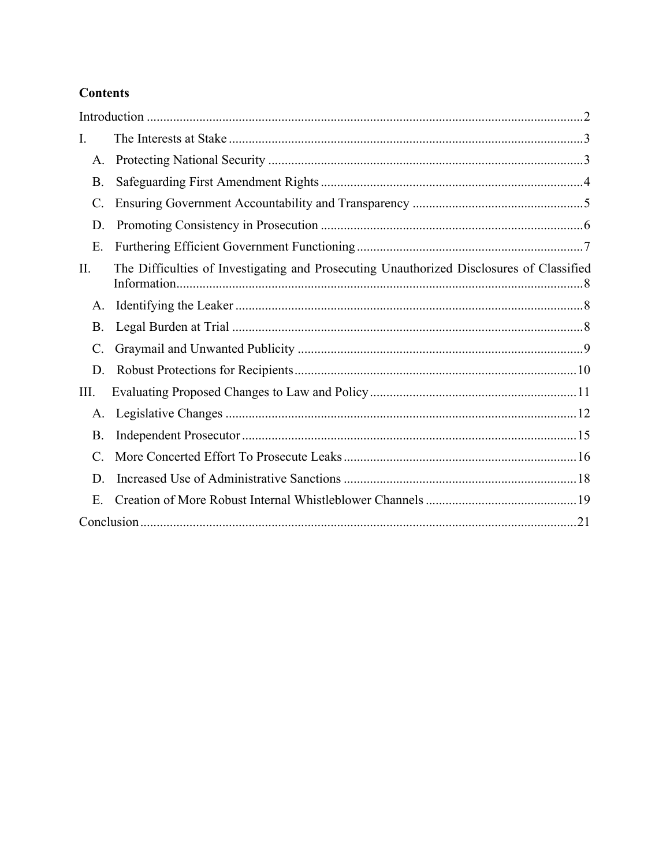# **Contents**

| I.          |                                                                                          |  |
|-------------|------------------------------------------------------------------------------------------|--|
| A.          |                                                                                          |  |
| <b>B.</b>   |                                                                                          |  |
| C.          |                                                                                          |  |
| D.          |                                                                                          |  |
| Ε.          |                                                                                          |  |
| II.         | The Difficulties of Investigating and Prosecuting Unauthorized Disclosures of Classified |  |
| $A_{\cdot}$ |                                                                                          |  |
| B.          |                                                                                          |  |
| C.          |                                                                                          |  |
| D.          |                                                                                          |  |
| III.        |                                                                                          |  |
| A.          |                                                                                          |  |
| <b>B.</b>   |                                                                                          |  |
|             |                                                                                          |  |
| D.          |                                                                                          |  |
| Ε.          |                                                                                          |  |
|             |                                                                                          |  |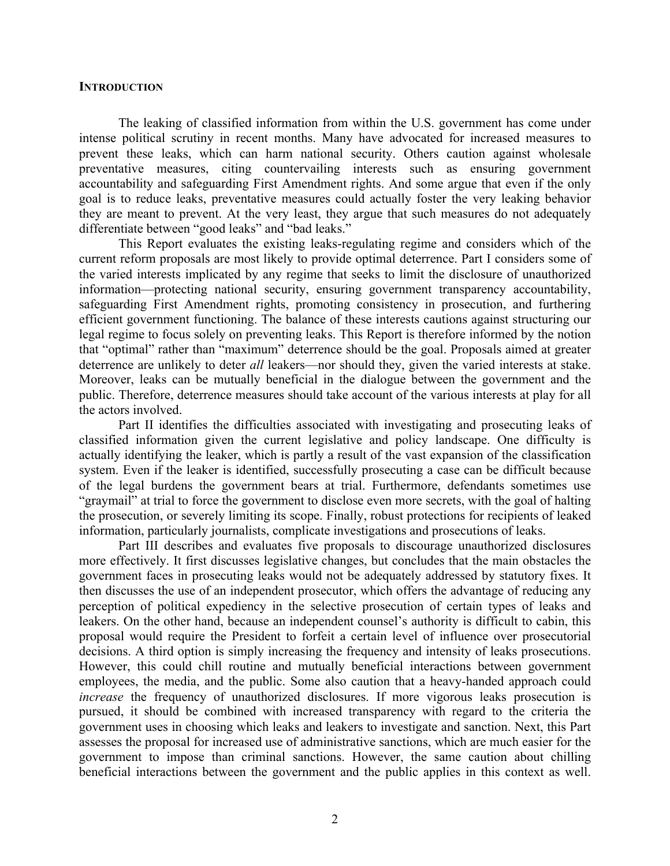#### **INTRODUCTION**

The leaking of classified information from within the U.S. government has come under intense political scrutiny in recent months. Many have advocated for increased measures to prevent these leaks, which can harm national security. Others caution against wholesale preventative measures, citing countervailing interests such as ensuring government accountability and safeguarding First Amendment rights. And some argue that even if the only goal is to reduce leaks, preventative measures could actually foster the very leaking behavior they are meant to prevent. At the very least, they argue that such measures do not adequately differentiate between "good leaks" and "bad leaks."

This Report evaluates the existing leaks-regulating regime and considers which of the current reform proposals are most likely to provide optimal deterrence. Part I considers some of the varied interests implicated by any regime that seeks to limit the disclosure of unauthorized information—protecting national security, ensuring government transparency accountability, safeguarding First Amendment rights, promoting consistency in prosecution, and furthering efficient government functioning. The balance of these interests cautions against structuring our legal regime to focus solely on preventing leaks. This Report is therefore informed by the notion that "optimal" rather than "maximum" deterrence should be the goal. Proposals aimed at greater deterrence are unlikely to deter *all* leakers—nor should they, given the varied interests at stake. Moreover, leaks can be mutually beneficial in the dialogue between the government and the public. Therefore, deterrence measures should take account of the various interests at play for all the actors involved.

Part II identifies the difficulties associated with investigating and prosecuting leaks of classified information given the current legislative and policy landscape. One difficulty is actually identifying the leaker, which is partly a result of the vast expansion of the classification system. Even if the leaker is identified, successfully prosecuting a case can be difficult because of the legal burdens the government bears at trial. Furthermore, defendants sometimes use "graymail" at trial to force the government to disclose even more secrets, with the goal of halting the prosecution, or severely limiting its scope. Finally, robust protections for recipients of leaked information, particularly journalists, complicate investigations and prosecutions of leaks.

Part III describes and evaluates five proposals to discourage unauthorized disclosures more effectively. It first discusses legislative changes, but concludes that the main obstacles the government faces in prosecuting leaks would not be adequately addressed by statutory fixes. It then discusses the use of an independent prosecutor, which offers the advantage of reducing any perception of political expediency in the selective prosecution of certain types of leaks and leakers. On the other hand, because an independent counsel's authority is difficult to cabin, this proposal would require the President to forfeit a certain level of influence over prosecutorial decisions. A third option is simply increasing the frequency and intensity of leaks prosecutions. However, this could chill routine and mutually beneficial interactions between government employees, the media, and the public. Some also caution that a heavy-handed approach could *increase* the frequency of unauthorized disclosures. If more vigorous leaks prosecution is pursued, it should be combined with increased transparency with regard to the criteria the government uses in choosing which leaks and leakers to investigate and sanction. Next, this Part assesses the proposal for increased use of administrative sanctions, which are much easier for the government to impose than criminal sanctions. However, the same caution about chilling beneficial interactions between the government and the public applies in this context as well.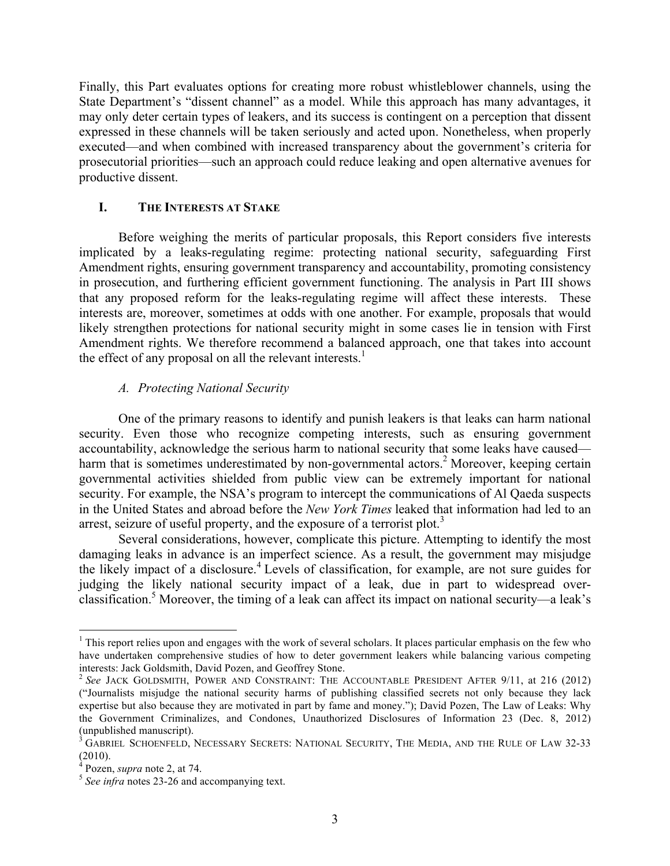Finally, this Part evaluates options for creating more robust whistleblower channels, using the State Department's "dissent channel" as a model. While this approach has many advantages, it may only deter certain types of leakers, and its success is contingent on a perception that dissent expressed in these channels will be taken seriously and acted upon. Nonetheless, when properly executed—and when combined with increased transparency about the government's criteria for prosecutorial priorities—such an approach could reduce leaking and open alternative avenues for productive dissent.

## **I. THE INTERESTS AT STAKE**

Before weighing the merits of particular proposals, this Report considers five interests implicated by a leaks-regulating regime: protecting national security, safeguarding First Amendment rights, ensuring government transparency and accountability, promoting consistency in prosecution, and furthering efficient government functioning. The analysis in Part III shows that any proposed reform for the leaks-regulating regime will affect these interests. These interests are, moreover, sometimes at odds with one another. For example, proposals that would likely strengthen protections for national security might in some cases lie in tension with First Amendment rights. We therefore recommend a balanced approach, one that takes into account the effect of any proposal on all the relevant interests.<sup>1</sup>

# *A. Protecting National Security*

One of the primary reasons to identify and punish leakers is that leaks can harm national security. Even those who recognize competing interests, such as ensuring government accountability, acknowledge the serious harm to national security that some leaks have caused harm that is sometimes underestimated by non-governmental actors.<sup>2</sup> Moreover, keeping certain governmental activities shielded from public view can be extremely important for national security. For example, the NSA's program to intercept the communications of Al Qaeda suspects in the United States and abroad before the *New York Times* leaked that information had led to an arrest, seizure of useful property, and the exposure of a terrorist plot.<sup>3</sup>

Several considerations, however, complicate this picture. Attempting to identify the most damaging leaks in advance is an imperfect science. As a result, the government may misjudge the likely impact of a disclosure.<sup>4</sup> Levels of classification, for example, are not sure guides for judging the likely national security impact of a leak, due in part to widespread overclassification.<sup>5</sup> Moreover, the timing of a leak can affect its impact on national security—a leak's

<sup>&</sup>lt;sup>1</sup> This report relies upon and engages with the work of several scholars. It places particular emphasis on the few who have undertaken comprehensive studies of how to deter government leakers while balancing various competing interests: Jack Goldsmith, David Pozen, and Geoffrey Stone.

<sup>&</sup>lt;sup>2</sup> See JACK GOLDSMITH, POWER AND CONSTRAINT: THE ACCOUNTABLE PRESIDENT AFTER 9/11, at 216 (2012) ("Journalists misjudge the national security harms of publishing classified secrets not only because they lack expertise but also because they are motivated in part by fame and money."); David Pozen, The Law of Leaks: Why the Government Criminalizes, and Condones, Unauthorized Disclosures of Information 23 (Dec. 8, 2012) (unpublished manuscript).<br><sup>3</sup> GABRIEL SCHOENFELD, NECESSARY SECRETS: NATIONAL SECURITY, THE MEDIA, AND THE RULE OF LAW 32-33

<sup>(2010).&</sup>lt;br> $^{4}$  Pozen, *supra* note 2, at 74.<br> $^{5}$  *See infra* notes 23-26 and accompanying text.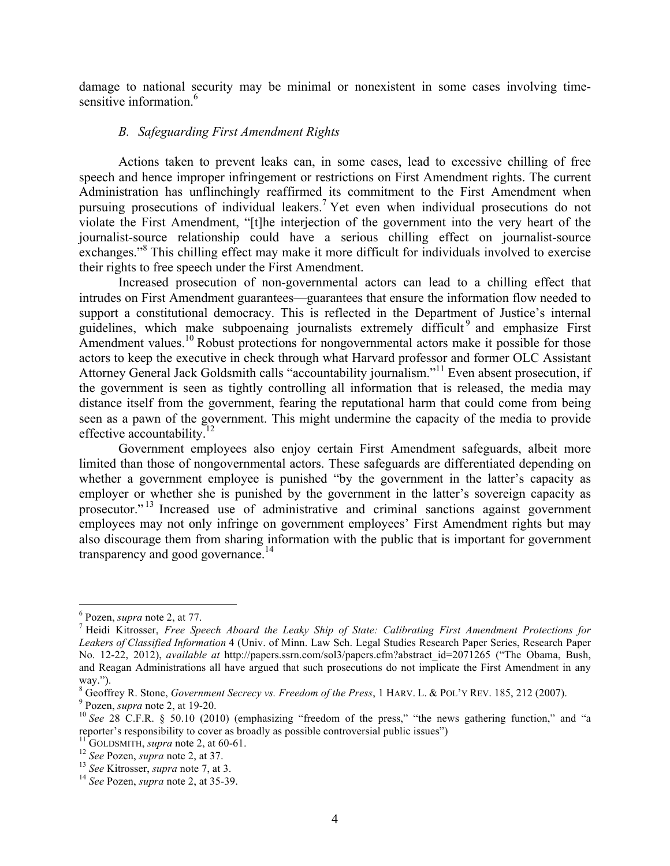damage to national security may be minimal or nonexistent in some cases involving timesensitive information.<sup>6</sup>

#### *B. Safeguarding First Amendment Rights*

Actions taken to prevent leaks can, in some cases, lead to excessive chilling of free speech and hence improper infringement or restrictions on First Amendment rights. The current Administration has unflinchingly reaffirmed its commitment to the First Amendment when pursuing prosecutions of individual leakers.7 Yet even when individual prosecutions do not violate the First Amendment, "[t]he interjection of the government into the very heart of the journalist-source relationship could have a serious chilling effect on journalist-source exchanges."<sup>8</sup> This chilling effect may make it more difficult for individuals involved to exercise their rights to free speech under the First Amendment.

Increased prosecution of non-governmental actors can lead to a chilling effect that intrudes on First Amendment guarantees—guarantees that ensure the information flow needed to support a constitutional democracy. This is reflected in the Department of Justice's internal guidelines, which make subpoenaing journalists extremely difficult<sup>9</sup> and emphasize First Amendment values.<sup>10</sup> Robust protections for nongovernmental actors make it possible for those actors to keep the executive in check through what Harvard professor and former OLC Assistant Attorney General Jack Goldsmith calls "accountability journalism."<sup>11</sup> Even absent prosecution, if the government is seen as tightly controlling all information that is released, the media may distance itself from the government, fearing the reputational harm that could come from being seen as a pawn of the government. This might undermine the capacity of the media to provide effective accountability. $12$ 

Government employees also enjoy certain First Amendment safeguards, albeit more limited than those of nongovernmental actors. These safeguards are differentiated depending on whether a government employee is punished "by the government in the latter's capacity as employer or whether she is punished by the government in the latter's sovereign capacity as prosecutor." <sup>13</sup> Increased use of administrative and criminal sanctions against government employees may not only infringe on government employees' First Amendment rights but may also discourage them from sharing information with the public that is important for government transparency and good governance. $14$ 

<sup>&</sup>lt;sup>6</sup> Pozen, *supra* note 2, at 77.<br><sup>7</sup> Heidi Kitrosser, *Free Speech Aboard the Leaky Ship of State: Calibrating First Amendment Protections for Leakers of Classified Information* 4 (Univ. of Minn. Law Sch. Legal Studies Research Paper Series, Research Paper No. 12-22, 2012), *available at* http://papers.ssrn.com/sol3/papers.cfm?abstract\_id=2071265 ("The Obama, Bush, and Reagan Administrations all have argued that such prosecutions do not implicate the First Amendment in any way.").

<sup>8</sup> Geoffrey R. Stone, *Government Secrecy vs. Freedom of the Press*, 1 HARV. L. & POL'Y REV. 185, 212 (2007). <sup>9</sup> Pozen, *supra* note 2, at 19-20.

<sup>&</sup>lt;sup>10</sup> See 28 C.F.R. § 50.10 (2010) (emphasizing "freedom of the press," "the news gathering function," and "a reporter's responsibility to cover as broadly as possible controversial public issues")  $\frac{11}{11}$  GOLDSMITH, *supra* note 2, at 60-61.

<sup>&</sup>lt;sup>12</sup> See Pozen, *supra* note 2, at 37.<br><sup>13</sup> See Kitrosser, *supra* note 7, at 3.<br><sup>14</sup> See Pozen, *supra* note 2, at 35-39.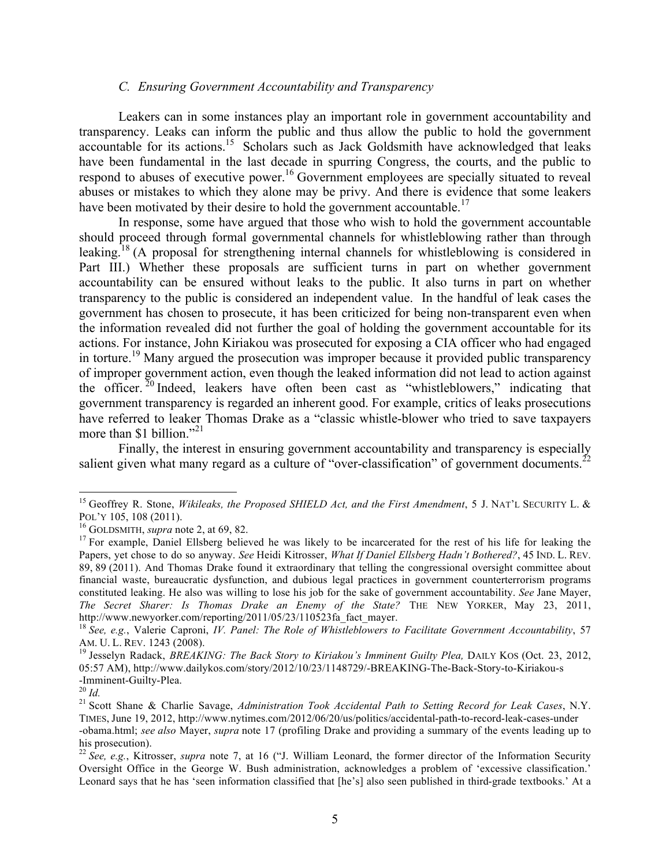## *C. Ensuring Government Accountability and Transparency*

Leakers can in some instances play an important role in government accountability and transparency. Leaks can inform the public and thus allow the public to hold the government accountable for its actions.<sup>15</sup> Scholars such as Jack Goldsmith have acknowledged that leaks have been fundamental in the last decade in spurring Congress, the courts, and the public to respond to abuses of executive power.<sup>16</sup> Government employees are specially situated to reveal abuses or mistakes to which they alone may be privy. And there is evidence that some leakers have been motivated by their desire to hold the government accountable.<sup>17</sup>

In response, some have argued that those who wish to hold the government accountable should proceed through formal governmental channels for whistleblowing rather than through leaking.<sup>18</sup> (A proposal for strengthening internal channels for whistleblowing is considered in Part III.) Whether these proposals are sufficient turns in part on whether government accountability can be ensured without leaks to the public. It also turns in part on whether transparency to the public is considered an independent value. In the handful of leak cases the government has chosen to prosecute, it has been criticized for being non-transparent even when the information revealed did not further the goal of holding the government accountable for its actions. For instance, John Kiriakou was prosecuted for exposing a CIA officer who had engaged in torture.<sup>19</sup> Many argued the prosecution was improper because it provided public transparency of improper government action, even though the leaked information did not lead to action against the officer.  $\bar{z}^0$  Indeed, leakers have often been cast as "whistleblowers," indicating that government transparency is regarded an inherent good. For example, critics of leaks prosecutions have referred to leaker Thomas Drake as a "classic whistle-blower who tried to save taxpayers more than \$1 billion."<sup>21</sup>

Finally, the interest in ensuring government accountability and transparency is especially salient given what many regard as a culture of "over-classification" of government documents.<sup>22</sup>

<sup>&</sup>lt;sup>15</sup> Geoffrey R. Stone, *Wikileaks, the Proposed SHIELD Act, and the First Amendment*, 5 J. NAT'L SECURITY L. & POL'Y 105, 108 (2011).

<sup>&</sup>lt;sup>16</sup> GOLDSMITH, *supra* note 2, at 69, 82.<br><sup>17</sup> For example, Daniel Ellsberg believed he was likely to be incarcerated for the rest of his life for leaking the Papers, yet chose to do so anyway. *See* Heidi Kitrosser, *What If Daniel Ellsberg Hadn't Bothered?*, 45 IND. L. REV. 89, 89 (2011). And Thomas Drake found it extraordinary that telling the congressional oversight committee about financial waste, bureaucratic dysfunction, and dubious legal practices in government counterterrorism programs constituted leaking. He also was willing to lose his job for the sake of government accountability. *See* Jane Mayer, *The Secret Sharer: Is Thomas Drake an Enemy of the State?* THE NEW YORKER, May 23, 2011,

<sup>&</sup>lt;sup>18</sup> See, e.g., Valerie Caproni, *IV. Panel: The Role of Whistleblowers to Facilitate Government Accountability*, 57 *AM. U. L. REV. 1243 (2008).* 

<sup>&</sup>lt;sup>19</sup> Jesselyn Radack, *BREAKING: The Back Story to Kiriakou's Imminent Guilty Plea*, DAILY KOS (Oct. 23, 2012, 05:57 AM), http://www.dailykos.com/story/2012/10/23/1148729/-BREAKING-The-Back-Story-to-Kiriakou-s<br>-Imminent-Guilty-Plea.<br> $^{20}$  Id.

<sup>&</sup>lt;sup>21</sup> Scott Shane & Charlie Savage, *Administration Took Accidental Path to Setting Record for Leak Cases*, N.Y. TIMES, June 19, 2012, http://www.nytimes.com/2012/06/20/us/politics/accidental-path-to-record-leak-cases-under -obama.html; *see also* Mayer, *supra* note 17 (profiling Drake and providing a summary of the events leading up to his prosecution).

<sup>22</sup> *See, e.g.*, Kitrosser, *supra* note 7, at 16 ("J. William Leonard, the former director of the Information Security Oversight Office in the George W. Bush administration, acknowledges a problem of 'excessive classification.' Leonard says that he has 'seen information classified that [he's] also seen published in third-grade textbooks.' At a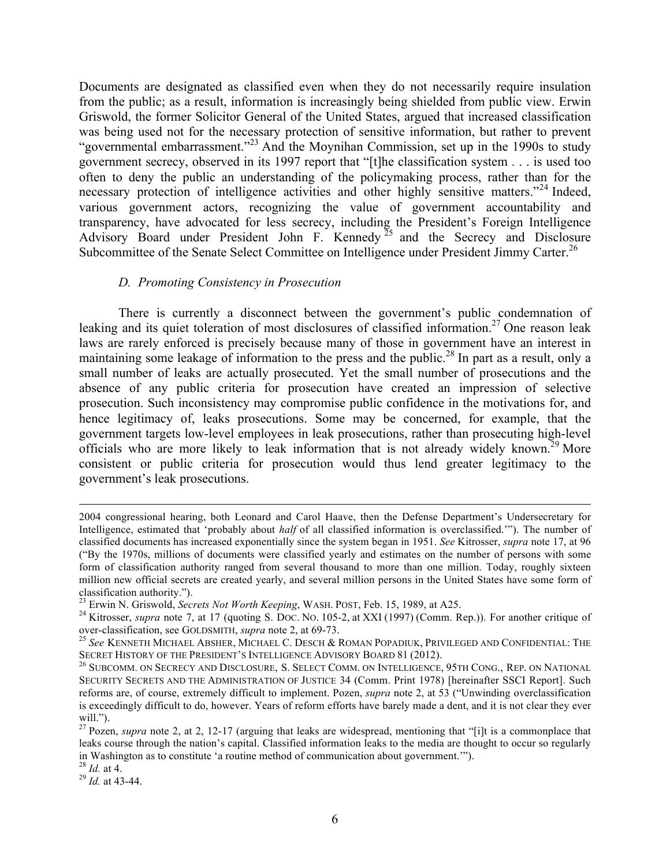Documents are designated as classified even when they do not necessarily require insulation from the public; as a result, information is increasingly being shielded from public view. Erwin Griswold, the former Solicitor General of the United States, argued that increased classification was being used not for the necessary protection of sensitive information, but rather to prevent "governmental embarrassment."<sup>23</sup> And the Moynihan Commission, set up in the 1990s to study government secrecy, observed in its 1997 report that "[t]he classification system . . . is used too often to deny the public an understanding of the policymaking process, rather than for the necessary protection of intelligence activities and other highly sensitive matters."<sup>24</sup> Indeed, various government actors, recognizing the value of government accountability and transparency, have advocated for less secrecy, including the President's Foreign Intelligence Advisory Board under President John F. Kennedy  $25$  and the Secrecy and Disclosure Subcommittee of the Senate Select Committee on Intelligence under President Jimmy Carter.<sup>26</sup>

## *D. Promoting Consistency in Prosecution*

There is currently a disconnect between the government's public condemnation of leaking and its quiet toleration of most disclosures of classified information.<sup>27</sup> One reason leak laws are rarely enforced is precisely because many of those in government have an interest in maintaining some leakage of information to the press and the public.<sup>28</sup> In part as a result, only a small number of leaks are actually prosecuted. Yet the small number of prosecutions and the absence of any public criteria for prosecution have created an impression of selective prosecution. Such inconsistency may compromise public confidence in the motivations for, and hence legitimacy of, leaks prosecutions. Some may be concerned, for example, that the government targets low-level employees in leak prosecutions, rather than prosecuting high-level officials who are more likely to leak information that is not already widely known.<sup>29</sup> More consistent or public criteria for prosecution would thus lend greater legitimacy to the government's leak prosecutions.

!!!!!!!!!!!!!!!!!!!!!!!!!!!!!!!!!!!!!!!!!!!!!!!!!!!!!!!!!!!!!!!!!!!!!!!!!!!!!!!!!!!!!!!!!!!!!!!!!!!!!!!!!!!!!!!!!!!!!!!!!!!!!!!!!!!!!!!!!!!!!!!!!!!!!!!!!!!!!!!!!!!!!!!!!!!!!!!!!!

<sup>2004</sup> congressional hearing, both Leonard and Carol Haave, then the Defense Department's Undersecretary for Intelligence, estimated that 'probably about *half* of all classified information is overclassified.'"). The number of classified documents has increased exponentially since the system began in 1951. *See* Kitrosser, *supra* note 17, at 96 ("By the 1970s, millions of documents were classified yearly and estimates on the number of persons with some form of classification authority ranged from several thousand to more than one million. Today, roughly sixteen million new official secrets are created yearly, and several million persons in the United States have some form of classification authority.").<br><sup>23</sup> Erwin N. Griswold, *Secrets Not Worth Keeping*, WASH. POST, Feb. 15, 1989, at A25.

<sup>&</sup>lt;sup>24</sup> Kitrosser, *supra* note 7, at 17 (quoting S. Doc. No. 105-2, at XXI (1997) (Comm. Rep.)). For another critique of over-classification, see GOLDSMITH, *supra* note 2, at 69-73.

<sup>&</sup>lt;sup>25</sup> See KENNETH MICHAEL ABSHER, MICHAEL C. DESCH & ROMAN POPADIUK, PRIVILEGED AND CONFIDENTIAL: THE SECRET HISTORY OF THE PRESIDENT'S INTELLIGENCE ADVISORY BOARD 81 (2012).<br><sup>26</sup> SUBCOMM. ON SECRECY AND DISCLOSURE, S. SELECT COMM. ON INTELLIGENCE, 95TH CONG., REP. ON NATIONAL

SECURITY SECRETS AND THE ADMINISTRATION OF JUSTICE 34 (Comm. Print 1978) [hereinafter SSCI Report]. Such reforms are, of course, extremely difficult to implement. Pozen, *supra* note 2, at 53 ("Unwinding overclassification is exceedingly difficult to do, however. Years of reform efforts have barely made a dent, and it is not clear they ever will.").

<sup>&</sup>lt;sup>27</sup> Pozen, *supra* note 2, at 2, 12-17 (arguing that leaks are widespread, mentioning that "[i]t is a commonplace that leaks course through the nation's capital. Classified information leaks to the media are thought to occur so regularly in Washington as to constitute 'a routine method of communication about government.'"). <sup>28</sup> *Id.* at 4. <sup>29</sup> *Id.* at 43-44.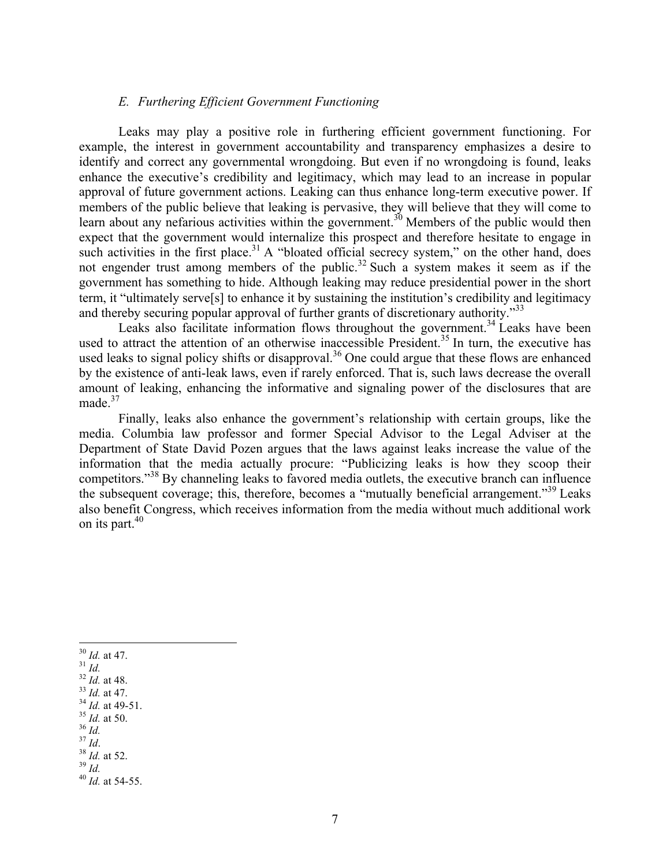#### *E. Furthering Efficient Government Functioning*

Leaks may play a positive role in furthering efficient government functioning. For example, the interest in government accountability and transparency emphasizes a desire to identify and correct any governmental wrongdoing. But even if no wrongdoing is found, leaks enhance the executive's credibility and legitimacy, which may lead to an increase in popular approval of future government actions. Leaking can thus enhance long-term executive power. If members of the public believe that leaking is pervasive, they will believe that they will come to learn about any nefarious activities within the government.<sup>30</sup> Members of the public would then expect that the government would internalize this prospect and therefore hesitate to engage in such activities in the first place.<sup>31</sup> A "bloated official secrecy system," on the other hand, does not engender trust among members of the public.<sup>32</sup> Such a system makes it seem as if the government has something to hide. Although leaking may reduce presidential power in the short term, it "ultimately serve[s] to enhance it by sustaining the institution's credibility and legitimacy and thereby securing popular approval of further grants of discretionary authority."<sup>33</sup>

Leaks also facilitate information flows throughout the government.<sup>34</sup> Leaks have been used to attract the attention of an otherwise inaccessible President.<sup>35</sup> In turn, the executive has used leaks to signal policy shifts or disapproval.<sup>36</sup> One could argue that these flows are enhanced by the existence of anti-leak laws, even if rarely enforced. That is, such laws decrease the overall amount of leaking, enhancing the informative and signaling power of the disclosures that are made. $37$ 

Finally, leaks also enhance the government's relationship with certain groups, like the media. Columbia law professor and former Special Advisor to the Legal Adviser at the Department of State David Pozen argues that the laws against leaks increase the value of the information that the media actually procure: "Publicizing leaks is how they scoop their competitors."<sup>38</sup> By channeling leaks to favored media outlets, the executive branch can influence the subsequent coverage; this, therefore, becomes a "mutually beneficial arrangement."<sup>39</sup> Leaks also benefit Congress, which receives information from the media without much additional work on its part. 40

- 
- 
- 
- 
- 
- 
- 
- 
- 

<sup>&</sup>lt;sup>30</sup> *Id.* at 47.<br><sup>31</sup> *Id.*<br><sup>32</sup> *Id.* at 48.<br><sup>33</sup> *Id.* at 47.<br><sup>34</sup> *Id.* at 49-51.<br><sup>35</sup> *Id.* at 50.<br><sup>36</sup> *Id.*<br><sup>37</sup> *Id.*<br><sup>37</sup> *Id.*<br><sup>38</sup> *Id.* at 52.<br><sup>39</sup> *Id.* at 52.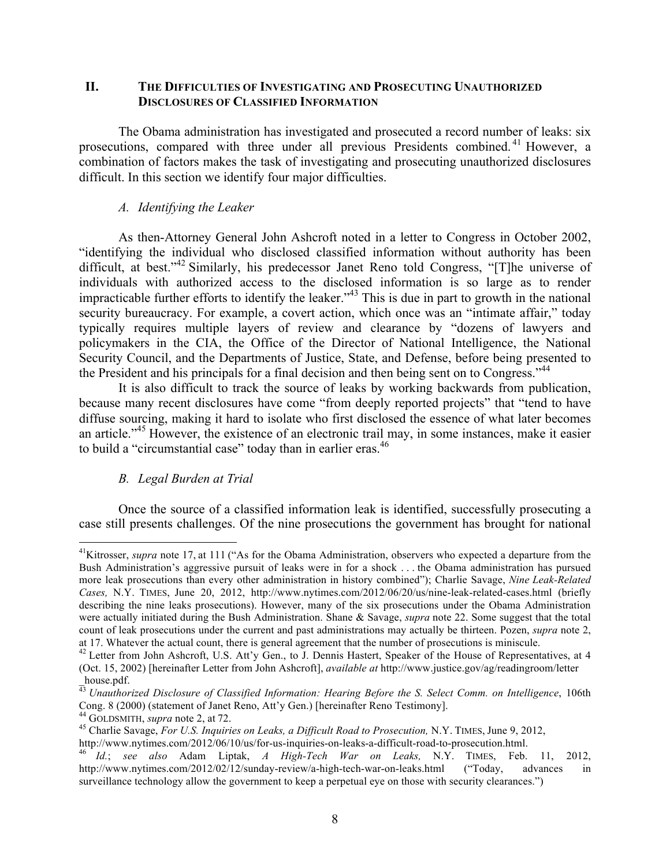## **II. THE DIFFICULTIES OF INVESTIGATING AND PROSECUTING UNAUTHORIZED DISCLOSURES OF CLASSIFIED INFORMATION**

The Obama administration has investigated and prosecuted a record number of leaks: six prosecutions, compared with three under all previous Presidents combined. <sup>41</sup> However, a combination of factors makes the task of investigating and prosecuting unauthorized disclosures difficult. In this section we identify four major difficulties.

## *A. Identifying the Leaker*

As then-Attorney General John Ashcroft noted in a letter to Congress in October 2002, "identifying the individual who disclosed classified information without authority has been difficult, at best."<sup>42</sup> Similarly, his predecessor Janet Reno told Congress, "[T]he universe of individuals with authorized access to the disclosed information is so large as to render impracticable further efforts to identify the leaker.<sup> $343$ </sup> This is due in part to growth in the national security bureaucracy. For example, a covert action, which once was an "intimate affair," today typically requires multiple layers of review and clearance by "dozens of lawyers and policymakers in the CIA, the Office of the Director of National Intelligence, the National Security Council, and the Departments of Justice, State, and Defense, before being presented to the President and his principals for a final decision and then being sent on to Congress."<sup>44</sup>

It is also difficult to track the source of leaks by working backwards from publication, because many recent disclosures have come "from deeply reported projects" that "tend to have diffuse sourcing, making it hard to isolate who first disclosed the essence of what later becomes an article."<sup>45</sup> However, the existence of an electronic trail may, in some instances, make it easier to build a "circumstantial case" today than in earlier eras.<sup>46</sup>

# *B. Legal Burden at Trial*

Once the source of a classified information leak is identified, successfully prosecuting a case still presents challenges. Of the nine prosecutions the government has brought for national

<sup>&</sup>lt;sup>41</sup>Kitrosser, *supra* note 17, at 111 ("As for the Obama Administration, observers who expected a departure from the Bush Administration's aggressive pursuit of leaks were in for a shock . . . the Obama administration has pursued more leak prosecutions than every other administration in history combined"); Charlie Savage, *Nine Leak-Related Cases,* N.Y. TIMES, June 20, 2012, http://www.nytimes.com/2012/06/20/us/nine-leak-related-cases.html (briefly describing the nine leaks prosecutions). However, many of the six prosecutions under the Obama Administration were actually initiated during the Bush Administration. Shane & Savage, *supra* note 22. Some suggest that the total count of leak prosecutions under the current and past administrations may actually be thirteen. Pozen, *supra* note 2, at 17. Whatever the actual count, there is general agreement that the number of prosecutions is miniscule.<br><sup>42</sup> Letter from John Ashcroft, U.S. Att'y Gen., to J. Dennis Hastert, Speaker of the House of Representatives, at

<sup>(</sup>Oct. 15, 2002) [hereinafter Letter from John Ashcroft], *available at* http://www.justice.gov/ag/readingroom/letter

\_house.pdf. 43 *Unauthorized Disclosure of Classified Information: Hearing Before the S. Select Comm. on Intelligence*, 106th Cong. 8 (2000) (statement of Janet Reno, Att'y Gen.) [hereinafter Reno Testimony].<br><sup>44</sup> GOLDSMITH, *supra* note 2, at 72.<br><sup>45</sup> Charlie Savage, *For U.S. Inquiries on Leaks, a Difficult Road to Prosecution*, N.Y. TIMES, Jun

http://www.nytimes.com/2012/06/10/us/for-us-inquiries-on-leaks-a-difficult-road-to-prosecution.html. <sup>46</sup> *Id.*; *see also* Adam Liptak, *A High-Tech War on Leaks,* N.Y. TIMES, Feb. 11, 2012,

http://www.nytimes.com/2012/02/12/sunday-review/a-high-tech-war-on-leaks.html ("Today, advances in surveillance technology allow the government to keep a perpetual eye on those with security clearances.")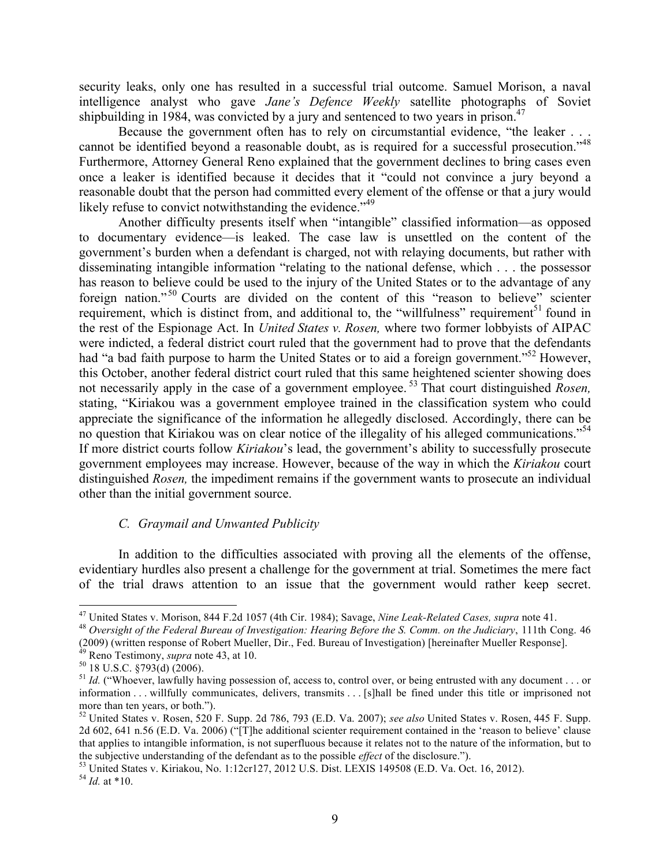security leaks, only one has resulted in a successful trial outcome. Samuel Morison, a naval intelligence analyst who gave *Jane's Defence Weekly* satellite photographs of Soviet shipbuilding in 1984, was convicted by a jury and sentenced to two years in prison.<sup>47</sup>

Because the government often has to rely on circumstantial evidence, "the leaker . . . cannot be identified beyond a reasonable doubt, as is required for a successful prosecution."<sup>48</sup> Furthermore, Attorney General Reno explained that the government declines to bring cases even once a leaker is identified because it decides that it "could not convince a jury beyond a reasonable doubt that the person had committed every element of the offense or that a jury would likely refuse to convict notwithstanding the evidence.<sup>"49</sup>

Another difficulty presents itself when "intangible" classified information—as opposed to documentary evidence—is leaked. The case law is unsettled on the content of the government's burden when a defendant is charged, not with relaying documents, but rather with disseminating intangible information "relating to the national defense, which . . . the possessor has reason to believe could be used to the injury of the United States or to the advantage of any foreign nation."<sup>50</sup> Courts are divided on the content of this "reason to believe" scienter requirement, which is distinct from, and additional to, the "willfulness" requirement<sup>51</sup> found in the rest of the Espionage Act. In *United States v. Rosen,* where two former lobbyists of AIPAC were indicted, a federal district court ruled that the government had to prove that the defendants had "a bad faith purpose to harm the United States or to aid a foreign government."<sup>52</sup> However, this October, another federal district court ruled that this same heightened scienter showing does not necessarily apply in the case of a government employee. <sup>53</sup> That court distinguished *Rosen,* stating, "Kiriakou was a government employee trained in the classification system who could appreciate the significance of the information he allegedly disclosed. Accordingly, there can be no question that Kiriakou was on clear notice of the illegality of his alleged communications."<sup>54</sup> If more district courts follow *Kiriakou*'s lead, the government's ability to successfully prosecute government employees may increase. However, because of the way in which the *Kiriakou* court distinguished *Rosen,* the impediment remains if the government wants to prosecute an individual other than the initial government source.

# *C. Graymail and Unwanted Publicity*

In addition to the difficulties associated with proving all the elements of the offense, evidentiary hurdles also present a challenge for the government at trial. Sometimes the mere fact of the trial draws attention to an issue that the government would rather keep secret.

<sup>&</sup>lt;sup>47</sup> United States v. Morison, 844 F.2d 1057 (4th Cir. 1984); Savage, *Nine Leak-Related Cases, supra* note 41.<br><sup>48</sup> Oversight of the Federal Bureau of Investigation: Hearing Before the S. Comm. on the Judiciary, 111th Co (2009) (written response of Robert Mueller, Dir., Fed. Bureau of Investigation) [hereinafter Mueller Response].<br><sup>49</sup> Reno Testimony, *supra* note 43, at 10.<br><sup>50</sup> 18 U.S.C. §793(d) (2006).<br><sup>51</sup> *Id.* ("Whoever, lawfully ha

information . . . willfully communicates, delivers, transmits . . . [s]hall be fined under this title or imprisoned not more than ten years, or both.").<br><sup>52</sup> United States v. Rosen, 520 F. Supp. 2d 786, 793 (E.D. Va. 2007); *see also* United States v. Rosen, 445 F. Supp.

<sup>2</sup>d 602, 641 n.56 (E.D. Va. 2006) ("[T]he additional scienter requirement contained in the 'reason to believe' clause that applies to intangible information, is not superfluous because it relates not to the nature of the information, but to

the subjective understanding of the defendant as to the possible *effect* of the disclosure.").<br><sup>53</sup> United States v. Kiriakou, No. 1:12cr127, 2012 U.S. Dist. LEXIS 149508 (E.D. Va. Oct. 16, 2012).<br><sup>54</sup> *Id.* at \*10.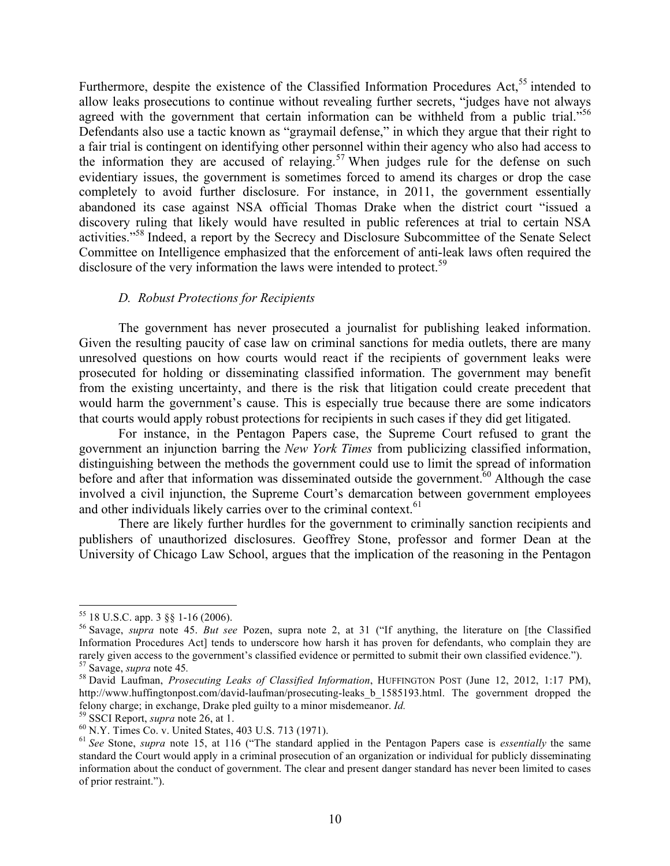Furthermore, despite the existence of the Classified Information Procedures Act,<sup>55</sup> intended to allow leaks prosecutions to continue without revealing further secrets, "judges have not always agreed with the government that certain information can be withheld from a public trial."<sup>56</sup> Defendants also use a tactic known as "graymail defense," in which they argue that their right to a fair trial is contingent on identifying other personnel within their agency who also had access to the information they are accused of relaying.<sup>57</sup> When judges rule for the defense on such evidentiary issues, the government is sometimes forced to amend its charges or drop the case completely to avoid further disclosure. For instance, in 2011, the government essentially abandoned its case against NSA official Thomas Drake when the district court "issued a discovery ruling that likely would have resulted in public references at trial to certain NSA activities."58 Indeed, a report by the Secrecy and Disclosure Subcommittee of the Senate Select Committee on Intelligence emphasized that the enforcement of anti-leak laws often required the disclosure of the very information the laws were intended to protect.<sup>59</sup>

## *D. Robust Protections for Recipients*

The government has never prosecuted a journalist for publishing leaked information. Given the resulting paucity of case law on criminal sanctions for media outlets, there are many unresolved questions on how courts would react if the recipients of government leaks were prosecuted for holding or disseminating classified information. The government may benefit from the existing uncertainty, and there is the risk that litigation could create precedent that would harm the government's cause. This is especially true because there are some indicators that courts would apply robust protections for recipients in such cases if they did get litigated.

For instance, in the Pentagon Papers case, the Supreme Court refused to grant the government an injunction barring the *New York Times* from publicizing classified information, distinguishing between the methods the government could use to limit the spread of information before and after that information was disseminated outside the government. $60$  Although the case involved a civil injunction, the Supreme Court's demarcation between government employees and other individuals likely carries over to the criminal context.<sup>61</sup>

There are likely further hurdles for the government to criminally sanction recipients and publishers of unauthorized disclosures. Geoffrey Stone, professor and former Dean at the University of Chicago Law School, argues that the implication of the reasoning in the Pentagon

<sup>&</sup>lt;sup>55</sup> 18 U.S.C. app. 3 §§ 1-16 (2006).<br><sup>56</sup> Savage, *supra* note 45. *But see* Pozen, supra note 2, at 31 ("If anything, the literature on [the Classified Information Procedures Act] tends to underscore how harsh it has proven for defendants, who complain they are rarely given access to the government's classified evidence or permitted to submit their own classified evidence.").<br><sup>57</sup> Savage, *supra* note 45.<br><sup>58</sup> David Laufman, *Prosecuting Leaks of Classified Information*, HUFFINGT

http://www.huffingtonpost.com/david-laufman/prosecuting-leaks\_b\_1585193.html. The government dropped the felony charge; in exchange, Drake pled guilty to a minor misdemeanor. *Id.*<br><sup>59</sup> SSCI Report, *supra* note 26, at 1.<br><sup>60</sup> N.Y. Times Co. v. United States, 403 U.S. 713 (1971).<br><sup>61</sup> See Stone, *supra* note 15, at 116 ("The

standard the Court would apply in a criminal prosecution of an organization or individual for publicly disseminating information about the conduct of government. The clear and present danger standard has never been limited to cases of prior restraint.").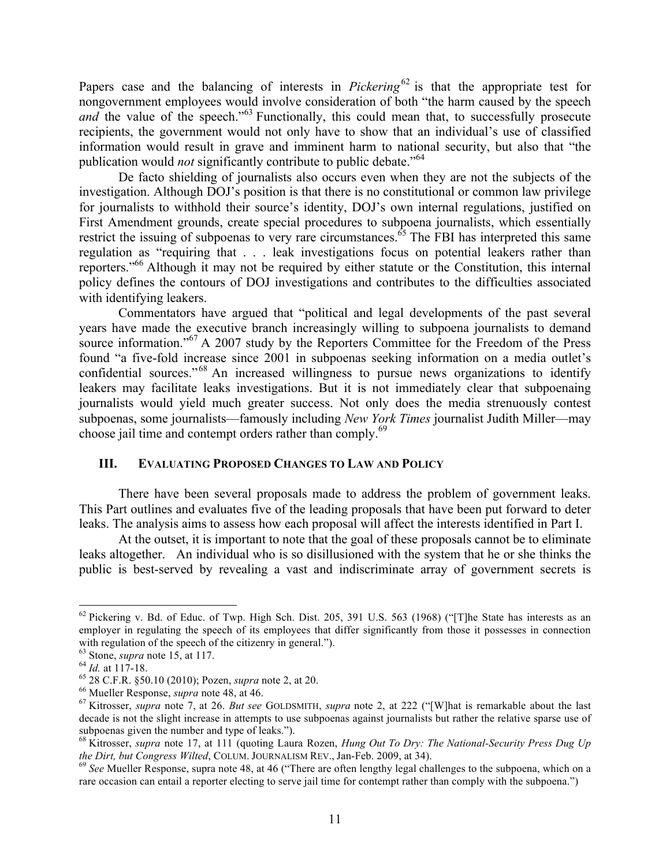Papers case and the balancing of interests in *Pickering*<sup>62</sup> is that the appropriate test for nongovernment employees would involve consideration of both "the harm caused by the speech *and* the value of the speech."<sup>63</sup> Functionally, this could mean that, to successfully prosecute recipients, the government would not only have to show that an individual's use of classified information would result in grave and imminent harm to national security, but also that "the publication would *not* significantly contribute to public debate.<sup>"64</sup>

De facto shielding of journalists also occurs even when they are not the subjects of the investigation. Although DOJ's position is that there is no constitutional or common law privilege for journalists to withhold their source's identity, DOJ's own internal regulations, justified on First Amendment grounds, create special procedures to subpoena journalists, which essentially restrict the issuing of subpoenas to very rare circumstances.<sup> $65$ </sup> The FBI has interpreted this same regulation as "requiring that . . . leak investigations focus on potential leakers rather than reporters."66 Although it may not be required by either statute or the Constitution, this internal policy defines the contours of DOJ investigations and contributes to the difficulties associated with identifying leakers.

Commentators have argued that "political and legal developments of the past several years have made the executive branch increasingly willing to subpoena journalists to demand source information."<sup>67</sup> A 2007 study by the Reporters Committee for the Freedom of the Press found "a five-fold increase since 2001 in subpoenas seeking information on a media outlet's confidential sources."<sup>68</sup> An increased willingness to pursue news organizations to identify leakers may facilitate leaks investigations. But it is not immediately clear that subpoenaing journalists would yield much greater success. Not only does the media strenuously contest subpoenas, some journalists—famously including *New York Times* journalist Judith Miller—may choose jail time and contempt orders rather than comply.<sup>69</sup>

# **III. EVALUATING PROPOSED CHANGES TO LAW AND POLICY**

There have been several proposals made to address the problem of government leaks. This Part outlines and evaluates five of the leading proposals that have been put forward to deter leaks. The analysis aims to assess how each proposal will affect the interests identified in Part I.

At the outset, it is important to note that the goal of these proposals cannot be to eliminate leaks altogether. An individual who is so disillusioned with the system that he or she thinks the public is best-served by revealing a vast and indiscriminate array of government secrets is

 $^{62}$  Pickering v. Bd. of Educ. of Twp. High Sch. Dist. 205, 391 U.S. 563 (1968) ("[T]he State has interests as an employer in regulating the speech of its employees that differ significantly from those it possesses in connection with regulation of the speech of the citizenry in general.").  $63$  Stone, *supra* note 15, at 117.

<sup>&</sup>lt;sup>64</sup> *Id.* at 117-18.<br>
<sup>65</sup> 28 C.F.R. §50.10 (2010); Pozen, *supra* note 2, at 20.<br>
<sup>66</sup> Mueller Response, *supra* note 48, at 46.<br>
<sup>67</sup> Kitrosser, *supra* note 7, at 26. *But see* GOLDSMITH, *supra* note 2, at 222 ("[W]h decade is not the slight increase in attempts to use subpoenas against journalists but rather the relative sparse use of

subpoenas given the number and type of leaks.").<br><sup>68</sup> Kitrosser, *supra* note 17, at 111 (quoting Laura Rozen, *Hung Out To Dry: The National-Security Press Dug Up the Dirt, but Congress Wilted, COLUM. JOURNALISM REV., Jan* 

*the Dirty off Congress Willem, Columnalism reserves Theory in the Dirty region of the subpoena, which on a* rare occasion can entail a reporter electing to serve jail time for contempt rather than comply with the subpoena.")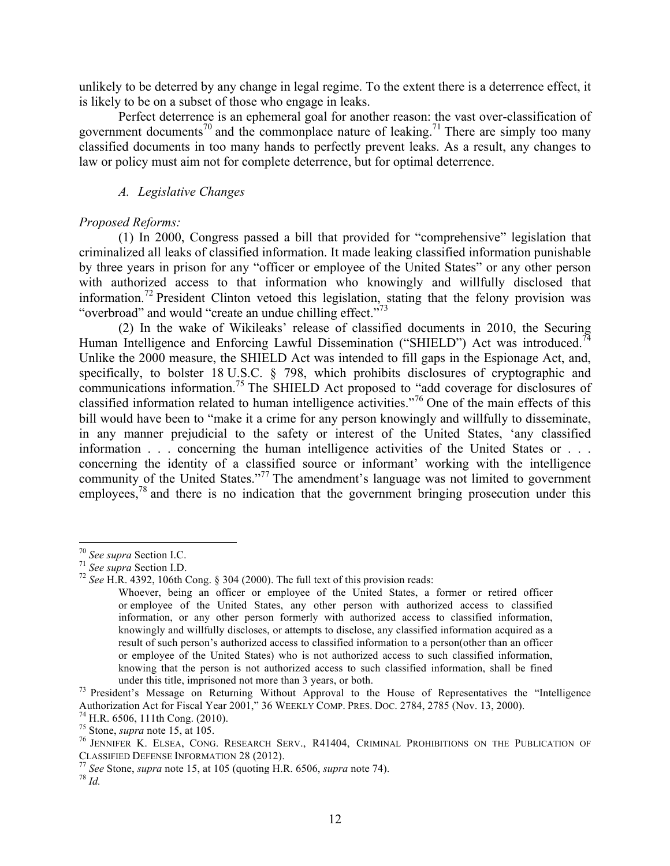unlikely to be deterred by any change in legal regime. To the extent there is a deterrence effect, it is likely to be on a subset of those who engage in leaks.

Perfect deterrence is an ephemeral goal for another reason: the vast over-classification of government documents<sup>70</sup> and the commonplace nature of leaking.<sup>71</sup> There are simply too many classified documents in too many hands to perfectly prevent leaks. As a result, any changes to law or policy must aim not for complete deterrence, but for optimal deterrence.

## *A. Legislative Changes*

#### *Proposed Reforms:*

(1) In 2000, Congress passed a bill that provided for "comprehensive" legislation that criminalized all leaks of classified information. It made leaking classified information punishable by three years in prison for any "officer or employee of the United States" or any other person with authorized access to that information who knowingly and willfully disclosed that information.<sup>72</sup> President Clinton vetoed this legislation, stating that the felony provision was "overbroad" and would "create an undue chilling effect."<sup>73</sup>

(2) In the wake of Wikileaks' release of classified documents in 2010, the Securing Human Intelligence and Enforcing Lawful Dissemination ("SHIELD") Act was introduced.<sup>74</sup> Unlike the 2000 measure, the SHIELD Act was intended to fill gaps in the Espionage Act, and, specifically, to bolster 18 U.S.C. § 798, which prohibits disclosures of cryptographic and communications information.<sup>75</sup> The SHIELD Act proposed to "add coverage for disclosures of classified information related to human intelligence activities."<sup>76</sup> One of the main effects of this bill would have been to "make it a crime for any person knowingly and willfully to disseminate, in any manner prejudicial to the safety or interest of the United States, 'any classified information . . . concerning the human intelligence activities of the United States or . . . concerning the identity of a classified source or informant' working with the intelligence community of the United States."<sup>77</sup> The amendment's language was not limited to government employees,<sup>78</sup> and there is no indication that the government bringing prosecution under this

<sup>&</sup>lt;sup>70</sup> *See supra* Section I.C.<br><sup>71</sup> *See supra* Section I.D.<br><sup>72</sup> *See* H.R. 4392, 106th Cong. § 304 (2000). The full text of this provision reads:

Whoever, being an officer or employee of the United States, a former or retired officer or employee of the United States, any other person with authorized access to classified information, or any other person formerly with authorized access to classified information, knowingly and willfully discloses, or attempts to disclose, any classified information acquired as a result of such person's authorized access to classified information to a person(other than an officer or employee of the United States) who is not authorized access to such classified information, knowing that the person is not authorized access to such classified information, shall be fined under this title, imprisoned not more than 3 years, or both.

under this title, imprisoned not more than 3 years, or both.<br><sup>73</sup> President's Message on Returning Without Approval to the House of Representatives the "Intelligence" Authorization Act for Fiscal Year 2001," 36 WEEKLY COMP. PRES. DOC. 2784, 2785 (Nov. 13, 2000).<br><sup>74</sup> H.R. 6506, 111th Cong. (2010).<br><sup>75</sup> Stone, *supra* note 15, at 105.<br><sup>76</sup> JENNIFER K. ELSEA, CONG. RESEARCH SERV., R41404,

CLASSIFIED DEFENSE INFORMATION 28 (2012). <sup>77</sup> *See* Stone, *supra* note 15, at 105 (quoting H.R. 6506, *supra* note 74). 78 *Id.*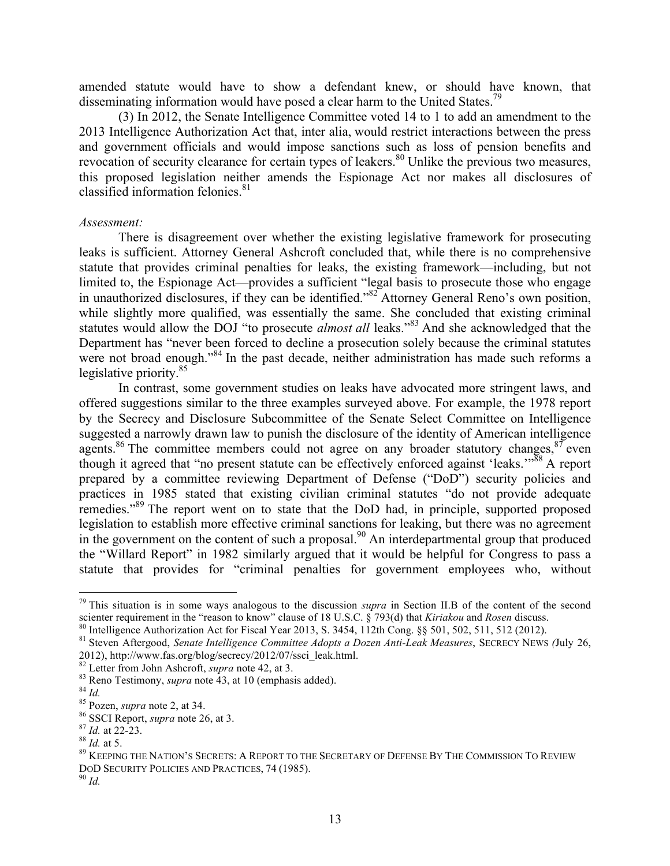amended statute would have to show a defendant knew, or should have known, that disseminating information would have posed a clear harm to the United States.<sup>79</sup>

(3) In 2012, the Senate Intelligence Committee voted 14 to 1 to add an amendment to the 2013 Intelligence Authorization Act that, inter alia, would restrict interactions between the press and government officials and would impose sanctions such as loss of pension benefits and revocation of security clearance for certain types of leakers.<sup>80</sup> Unlike the previous two measures, this proposed legislation neither amends the Espionage Act nor makes all disclosures of classified information felonies.<sup>81</sup>

#### *Assessment:*

There is disagreement over whether the existing legislative framework for prosecuting leaks is sufficient. Attorney General Ashcroft concluded that, while there is no comprehensive statute that provides criminal penalties for leaks, the existing framework—including, but not limited to, the Espionage Act—provides a sufficient "legal basis to prosecute those who engage in unauthorized disclosures, if they can be identified."<sup>82</sup> Attorney General Reno's own position, while slightly more qualified, was essentially the same. She concluded that existing criminal statutes would allow the DOJ "to prosecute *almost all* leaks."<sup>83</sup> And she acknowledged that the Department has "never been forced to decline a prosecution solely because the criminal statutes were not broad enough."<sup>84</sup> In the past decade, neither administration has made such reforms a legislative priority.<sup>85</sup>

In contrast, some government studies on leaks have advocated more stringent laws, and offered suggestions similar to the three examples surveyed above. For example, the 1978 report by the Secrecy and Disclosure Subcommittee of the Senate Select Committee on Intelligence suggested a narrowly drawn law to punish the disclosure of the identity of American intelligence agents.<sup>86</sup> The committee members could not agree on any broader statutory changes,  $87$  even though it agreed that "no present statute can be effectively enforced against 'leaks.'"<sup>88</sup> A report prepared by a committee reviewing Department of Defense ("DoD") security policies and practices in 1985 stated that existing civilian criminal statutes "do not provide adequate remedies."89 The report went on to state that the DoD had, in principle, supported proposed legislation to establish more effective criminal sanctions for leaking, but there was no agreement in the government on the content of such a proposal.<sup>90</sup> An interdepartmental group that produced the "Willard Report" in 1982 similarly argued that it would be helpful for Congress to pass a statute that provides for "criminal penalties for government employees who, without

<sup>&</sup>lt;sup>79</sup> This situation is in some ways analogous to the discussion *supra* in Section II.B of the content of the second scienter requirement in the "reason to know" clause of 18 U.S.C.  $\S$  793(d) that *Kiriakou* and *Rosen*

<sup>&</sup>lt;sup>80</sup> Intelligence Authorization Act for Fiscal Year 2013, S. 3454, 112th Cong. §§ 501, 502, 511, 512 (2012).<br><sup>81</sup> Steven Aftergood, *Senate Intelligence Committee Adopts a Dozen Anti-Leak Measures*, SECRECY NEWS (July 26,

<sup>2012),</sup> http://www.fas.org/blog/secrecy/2012/07/ssci\_leak.html.<br><sup>82</sup> Letter from John Ashcroft, *supra* note 42, at 3.

<sup>&</sup>lt;sup>83</sup> Reno Testimony, *supra* note 43, at 10 (emphasis added).<br><sup>84</sup> *Id.*<br><sup>85</sup> Pozen, *supra* note 2, at 34.<br><sup>85</sup> SSCI Report, *supra* note 26, at 3.<br><sup>87</sup> *Id.* at 22-23.<br><sup>88</sup> *Id.* at 5.<br><sup>89</sup> KEEPING THE NATION'S SECRETS: DOD SECURITY POLICIES AND PRACTICES, 74 (1985).<br><sup>90</sup> *Id.*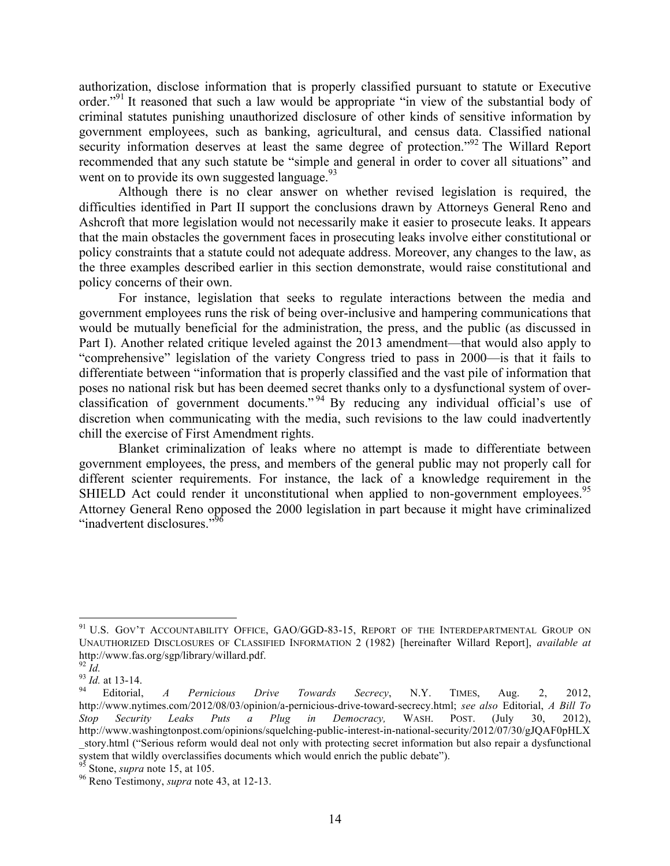authorization, disclose information that is properly classified pursuant to statute or Executive order."<sup>91</sup> It reasoned that such a law would be appropriate "in view of the substantial body of criminal statutes punishing unauthorized disclosure of other kinds of sensitive information by government employees, such as banking, agricultural, and census data. Classified national security information deserves at least the same degree of protection."<sup>92</sup> The Willard Report recommended that any such statute be "simple and general in order to cover all situations" and went on to provide its own suggested language.  $93$ 

Although there is no clear answer on whether revised legislation is required, the difficulties identified in Part II support the conclusions drawn by Attorneys General Reno and Ashcroft that more legislation would not necessarily make it easier to prosecute leaks. It appears that the main obstacles the government faces in prosecuting leaks involve either constitutional or policy constraints that a statute could not adequate address. Moreover, any changes to the law, as the three examples described earlier in this section demonstrate, would raise constitutional and policy concerns of their own.

For instance, legislation that seeks to regulate interactions between the media and government employees runs the risk of being over-inclusive and hampering communications that would be mutually beneficial for the administration, the press, and the public (as discussed in Part I). Another related critique leveled against the 2013 amendment—that would also apply to "comprehensive" legislation of the variety Congress tried to pass in 2000—is that it fails to differentiate between "information that is properly classified and the vast pile of information that poses no national risk but has been deemed secret thanks only to a dysfunctional system of overclassification of government documents." <sup>94</sup> By reducing any individual official's use of discretion when communicating with the media, such revisions to the law could inadvertently chill the exercise of First Amendment rights.

Blanket criminalization of leaks where no attempt is made to differentiate between government employees, the press, and members of the general public may not properly call for different scienter requirements. For instance, the lack of a knowledge requirement in the SHIELD Act could render it unconstitutional when applied to non-government employees.<sup>95</sup> Attorney General Reno opposed the 2000 legislation in part because it might have criminalized "inadvertent disclosures."<sup>96</sup>

<sup>&</sup>lt;sup>91</sup> U.S. GOV'T ACCOUNTABILITY OFFICE, GAO/GGD-83-15, REPORT OF THE INTERDEPARTMENTAL GROUP ON UNAUTHORIZED DISCLOSURES OF CLASSIFIED INFORMATION 2 (1982) [hereinafter Willard Report], *available at* http://www.fas.org/sgp/library/willard.pdf.<br><sup>92</sup> *Id.*<br><sup>93</sup> *Id.* at 13-14. <br><sup>94</sup> Editorial, *A Pernicious Drive Towards Secrecy*, N.Y. TIMES, Aug. 2, 2012,

http://www.nytimes.com/2012/08/03/opinion/a-pernicious-drive-toward-secrecy.html; *see also* Editorial, *A Bill To Stop Security Leaks Puts a Plug in Democracy,* WASH. POST. (July 30, 2012), http://www.washingtonpost.com/opinions/squelching-public-interest-in-national-security/2012/07/30/gJQAF0pHLX \_story.html ("Serious reform would deal not only with protecting secret information but also repair a dysfunctional system that wildly overclassifies documents which would enrich the public debate").

<sup>&</sup>lt;sup>95</sup> Stone, *supra* note 15, at 105.<br><sup>96</sup> Reno Testimony, *supra* note 43, at 12-13.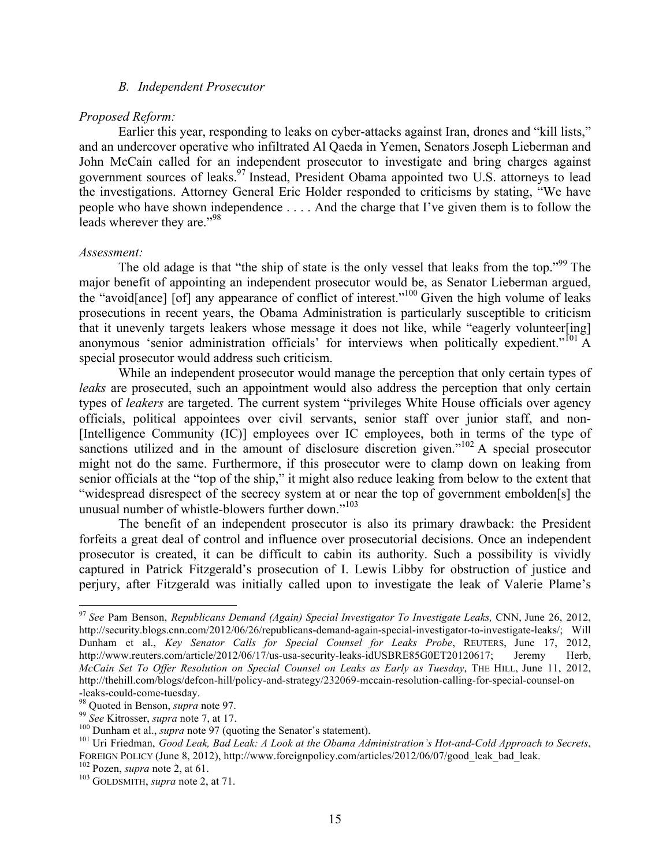## *B. Independent Prosecutor*

#### *Proposed Reform:*

Earlier this year, responding to leaks on cyber-attacks against Iran, drones and "kill lists," and an undercover operative who infiltrated Al Qaeda in Yemen, Senators Joseph Lieberman and John McCain called for an independent prosecutor to investigate and bring charges against government sources of leaks.<sup>97</sup> Instead, President Obama appointed two U.S. attorneys to lead the investigations. Attorney General Eric Holder responded to criticisms by stating, "We have people who have shown independence . . . . And the charge that I've given them is to follow the leads wherever they are."<sup>98</sup>

#### *Assessment:*

The old adage is that "the ship of state is the only vessel that leaks from the top."<sup>99</sup> The major benefit of appointing an independent prosecutor would be, as Senator Lieberman argued, the "avoid[ance]  $\left[ \right]$  [of] any appearance of conflict of interest."<sup>100</sup> Given the high volume of leaks prosecutions in recent years, the Obama Administration is particularly susceptible to criticism that it unevenly targets leakers whose message it does not like, while "eagerly volunteer[ing] anonymous 'senior administration officials' for interviews when politically expedient."<sup>101</sup> A special prosecutor would address such criticism.

While an independent prosecutor would manage the perception that only certain types of *leaks* are prosecuted, such an appointment would also address the perception that only certain types of *leakers* are targeted. The current system "privileges White House officials over agency officials, political appointees over civil servants, senior staff over junior staff, and non- [Intelligence Community (IC)] employees over IC employees, both in terms of the type of sanctions utilized and in the amount of disclosure discretion given."<sup>102</sup> A special prosecutor might not do the same. Furthermore, if this prosecutor were to clamp down on leaking from senior officials at the "top of the ship," it might also reduce leaking from below to the extent that "widespread disrespect of the secrecy system at or near the top of government embolden[s] the unusual number of whistle-blowers further down."<sup>103</sup>

The benefit of an independent prosecutor is also its primary drawback: the President forfeits a great deal of control and influence over prosecutorial decisions. Once an independent prosecutor is created, it can be difficult to cabin its authority. Such a possibility is vividly captured in Patrick Fitzgerald's prosecution of I. Lewis Libby for obstruction of justice and perjury, after Fitzgerald was initially called upon to investigate the leak of Valerie Plame's

<sup>&</sup>lt;sup>97</sup> See Pam Benson, *Republicans Demand (Again) Special Investigator To Investigate Leaks, CNN, June 26, 2012,* http://security.blogs.cnn.com/2012/06/26/republicans-demand-again-special-investigator-to-investigate-leaks/; Will Dunham et al., *Key Senator Calls for Special Counsel for Leaks Probe*, REUTERS, June 17, 2012, http://www.reuters.com/article/2012/06/17/us-usa-security-leaks-idUSBRE85G0ET20120617; Jeremy Herb, *McCain Set To Offer Resolution on Special Counsel on Leaks as Early as Tuesday*, THE HILL, June 11, 2012, http://thehill.com/blogs/defcon-hill/policy-and-strategy/232069-mccain-resolution-calling-for-special-counsel-on

<sup>-</sup>leaks-could-come-tuesday.<br><sup>98</sup> Quoted in Benson, *supra* note 97.<br><sup>99</sup> See Kitrosser, *supra* note 7, at 17.<br><sup>100</sup> Dunham et al., *supra* note 97 (quoting the Senator's statement).<br><sup>101</sup> Uri Friedman, *Good Leak, Bad Leak* FOREIGN POLICY (June 8, 2012), http://www.foreignpolicy.com/articles/2012/06/07/good\_leak\_bad\_leak. <sup>102</sup> Pozen, *supra* note 2, at 61. <sup>103</sup> GOLDSMITH, *supra* note 2, at 71.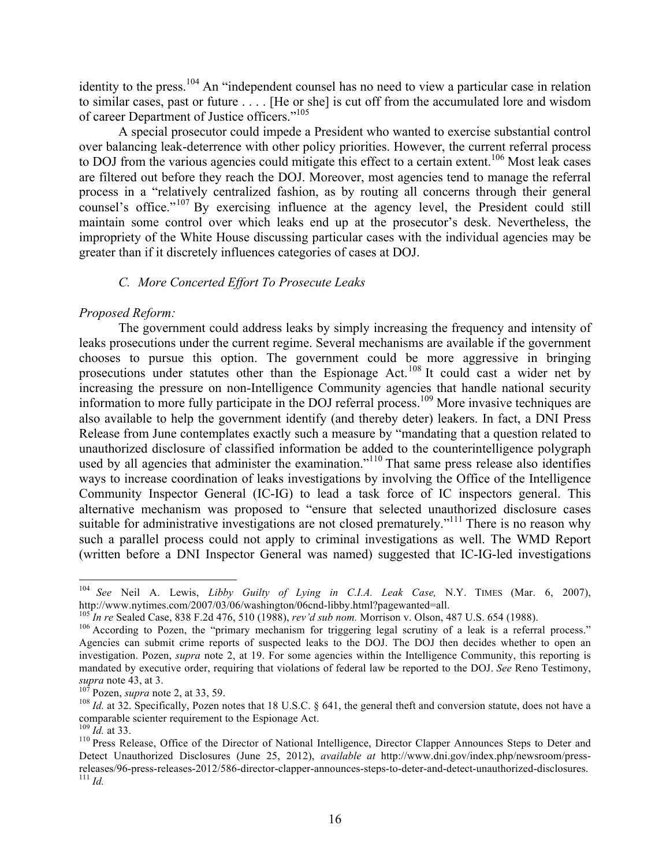identity to the press.<sup>104</sup> An "independent counsel has no need to view a particular case in relation to similar cases, past or future . . . . [He or she] is cut off from the accumulated lore and wisdom of career Department of Justice officers."<sup>105</sup>

A special prosecutor could impede a President who wanted to exercise substantial control over balancing leak-deterrence with other policy priorities. However, the current referral process to DOJ from the various agencies could mitigate this effect to a certain extent.<sup>106</sup> Most leak cases are filtered out before they reach the DOJ. Moreover, most agencies tend to manage the referral process in a "relatively centralized fashion, as by routing all concerns through their general counsel's office."<sup>107</sup> By exercising influence at the agency level, the President could still maintain some control over which leaks end up at the prosecutor's desk. Nevertheless, the impropriety of the White House discussing particular cases with the individual agencies may be greater than if it discretely influences categories of cases at DOJ.

# *C. More Concerted Effort To Prosecute Leaks*

# *Proposed Reform:*

The government could address leaks by simply increasing the frequency and intensity of leaks prosecutions under the current regime. Several mechanisms are available if the government chooses to pursue this option. The government could be more aggressive in bringing prosecutions under statutes other than the Espionage Act.<sup>108</sup> It could cast a wider net by increasing the pressure on non-Intelligence Community agencies that handle national security information to more fully participate in the DOJ referral process.<sup>109</sup> More invasive techniques are also available to help the government identify (and thereby deter) leakers. In fact, a DNI Press Release from June contemplates exactly such a measure by "mandating that a question related to unauthorized disclosure of classified information be added to the counterintelligence polygraph used by all agencies that administer the examination."<sup>110</sup> That same press release also identifies ways to increase coordination of leaks investigations by involving the Office of the Intelligence Community Inspector General (IC-IG) to lead a task force of IC inspectors general. This alternative mechanism was proposed to "ensure that selected unauthorized disclosure cases suitable for administrative investigations are not closed prematurely."<sup>111</sup> There is no reason why such a parallel process could not apply to criminal investigations as well. The WMD Report (written before a DNI Inspector General was named) suggested that IC-IG-led investigations

<sup>&</sup>lt;sup>104</sup> See Neil A. Lewis, *Libby Guilty of Lying in C.I.A. Leak Case*, N.Y. TIMES (Mar. 6, 2007), http://www.nytimes.com/2007/03/06/washington/06cnd-libby.html?pagewanted=all.

 $^{105}$ In re Sealed Case, 838 F.2d 476, 510 (1988), rev'd sub nom. Morrison v. Olson, 487 U.S. 654 (1988).<br><sup>106</sup> According to Pozen, the "primary mechanism for triggering legal scrutiny of a leak is a referral process." Agencies can submit crime reports of suspected leaks to the DOJ. The DOJ then decides whether to open an investigation. Pozen, *supra* note 2, at 19. For some agencies within the Intelligence Community, this reporting is mandated by executive order, requiring that violations of federal law be reported to the DOJ. *See* Reno Testimony,

<sup>&</sup>lt;sup>107</sup> Pozen, *supra* note 2, at 33, 59.<br><sup>108</sup> *Id.* at 32. Specifically, Pozen notes that 18 U.S.C. § 641, the general theft and conversion statute, does not have a comparable scienter requirement to the Espionage Act.  $^{109}$  *Id.* at 33.

<sup>&</sup>lt;sup>110</sup> Press Release, Office of the Director of National Intelligence, Director Clapper Announces Steps to Deter and Detect Unauthorized Disclosures (June 25, 2012), *available at* http://www.dni.gov/index.php/newsroom/pressreleases/96-press-releases-2012/586-director-clapper-announces-steps-to-deter-and-detect-unauthorized-disclosures. <sup>111</sup> *Id.*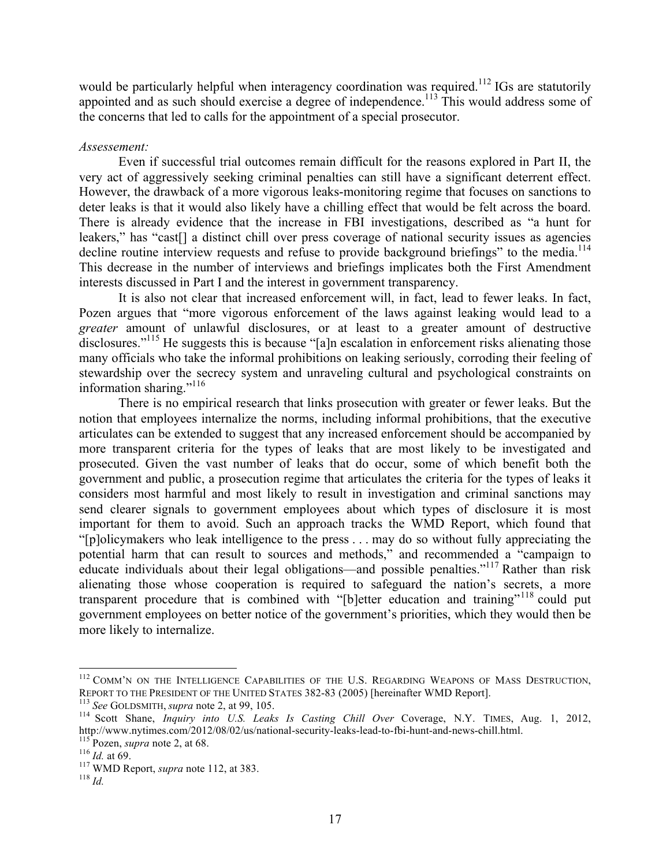would be particularly helpful when interagency coordination was required.<sup>112</sup> IGs are statutorily appointed and as such should exercise a degree of independence.<sup>113</sup> This would address some of the concerns that led to calls for the appointment of a special prosecutor.

## *Assessement:*

Even if successful trial outcomes remain difficult for the reasons explored in Part II, the very act of aggressively seeking criminal penalties can still have a significant deterrent effect. However, the drawback of a more vigorous leaks-monitoring regime that focuses on sanctions to deter leaks is that it would also likely have a chilling effect that would be felt across the board. There is already evidence that the increase in FBI investigations, described as "a hunt for leakers," has "cast[] a distinct chill over press coverage of national security issues as agencies decline routine interview requests and refuse to provide background briefings" to the media.<sup>114</sup> This decrease in the number of interviews and briefings implicates both the First Amendment interests discussed in Part I and the interest in government transparency.

It is also not clear that increased enforcement will, in fact, lead to fewer leaks. In fact, Pozen argues that "more vigorous enforcement of the laws against leaking would lead to a *greater* amount of unlawful disclosures, or at least to a greater amount of destructive disclosures."<sup>115</sup> He suggests this is because "[a]n escalation in enforcement risks alienating those many officials who take the informal prohibitions on leaking seriously, corroding their feeling of stewardship over the secrecy system and unraveling cultural and psychological constraints on information sharing."<sup>116</sup>

There is no empirical research that links prosecution with greater or fewer leaks. But the notion that employees internalize the norms, including informal prohibitions, that the executive articulates can be extended to suggest that any increased enforcement should be accompanied by more transparent criteria for the types of leaks that are most likely to be investigated and prosecuted. Given the vast number of leaks that do occur, some of which benefit both the government and public, a prosecution regime that articulates the criteria for the types of leaks it considers most harmful and most likely to result in investigation and criminal sanctions may send clearer signals to government employees about which types of disclosure it is most important for them to avoid. Such an approach tracks the WMD Report, which found that "[p]olicymakers who leak intelligence to the press . . . may do so without fully appreciating the potential harm that can result to sources and methods," and recommended a "campaign to educate individuals about their legal obligations—and possible penalties."<sup>117</sup> Rather than risk alienating those whose cooperation is required to safeguard the nation's secrets, a more transparent procedure that is combined with "[b]etter education and training"<sup>118</sup> could put government employees on better notice of the government's priorities, which they would then be more likely to internalize.

<sup>&</sup>lt;sup>112</sup> COMM'N ON THE INTELLIGENCE CAPABILITIES OF THE U.S. REGARDING WEAPONS OF MASS DESTRUCTION, REPORT TO THE PRESIDENT OF THE UNITED STATES 382-83 (2005) [hereinafter WMD Report].<br><sup>113</sup> See GOLDSMITH, *supra* note 2, at 99, 105.<br><sup>114</sup> Scott Shane, *Inquiry into U.S. Leaks Is Casting Chill Over* Coverage, N.Y. TIMES,

http://www.nytimes.com/2012/08/02/us/national-security-leaks-lead-to-fbi-hunt-and-news-chill.html.<br><sup>115</sup> Pozen, *supra* note 2, at 68. <sup>116</sup> *Id.* at 69. <sup>117</sup> WMD Report, *supra* note 112, at 383. <sup>118</sup> *Id*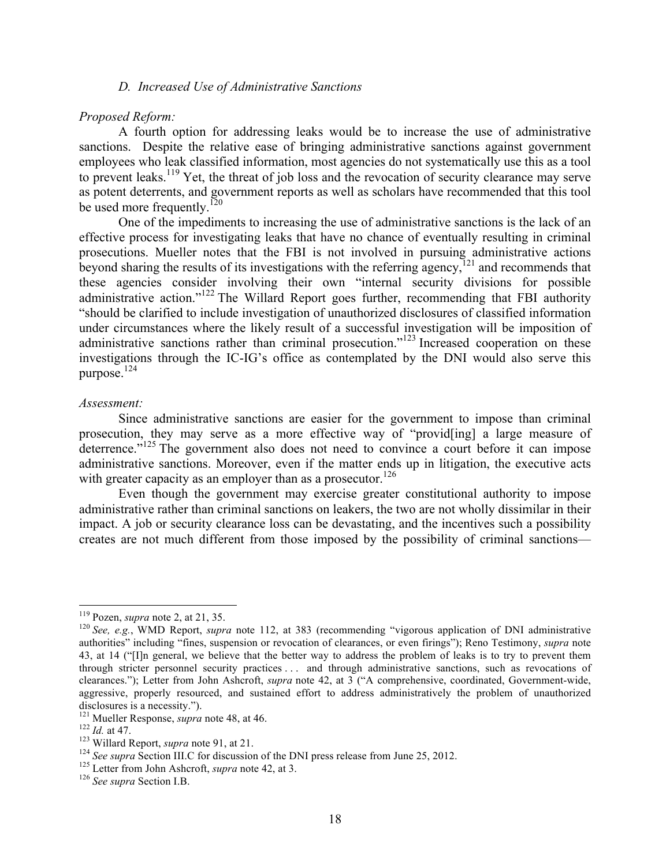#### *D. Increased Use of Administrative Sanctions*

#### *Proposed Reform:*

A fourth option for addressing leaks would be to increase the use of administrative sanctions. Despite the relative ease of bringing administrative sanctions against government employees who leak classified information, most agencies do not systematically use this as a tool to prevent leaks.<sup>119</sup> Yet, the threat of job loss and the revocation of security clearance may serve as potent deterrents, and government reports as well as scholars have recommended that this tool be used more frequently.<sup>120</sup>

One of the impediments to increasing the use of administrative sanctions is the lack of an effective process for investigating leaks that have no chance of eventually resulting in criminal prosecutions. Mueller notes that the FBI is not involved in pursuing administrative actions beyond sharing the results of its investigations with the referring agency,<sup> $121$ </sup> and recommends that these agencies consider involving their own "internal security divisions for possible administrative action."<sup>122</sup> The Willard Report goes further, recommending that FBI authority "should be clarified to include investigation of unauthorized disclosures of classified information under circumstances where the likely result of a successful investigation will be imposition of administrative sanctions rather than criminal prosecution."<sup>123</sup> Increased cooperation on these investigations through the IC-IG's office as contemplated by the DNI would also serve this purpose. $^{124}$ 

#### *Assessment:*

Since administrative sanctions are easier for the government to impose than criminal prosecution, they may serve as a more effective way of "provid[ing] a large measure of deterrence.<sup>"125</sup> The government also does not need to convince a court before it can impose administrative sanctions. Moreover, even if the matter ends up in litigation, the executive acts with greater capacity as an employer than as a prosecutor.<sup>126</sup>

Even though the government may exercise greater constitutional authority to impose administrative rather than criminal sanctions on leakers, the two are not wholly dissimilar in their impact. A job or security clearance loss can be devastating, and the incentives such a possibility creates are not much different from those imposed by the possibility of criminal sanctions—

<sup>&</sup>lt;sup>119</sup> Pozen, *supra* note 2, at 21, 35.<br><sup>120</sup> See, e.g., WMD Report, *supra* note 112, at 383 (recommending "vigorous application of DNI administrative authorities" including "fines, suspension or revocation of clearances, or even firings"); Reno Testimony, *supra* note 43, at 14 ("[I]n general, we believe that the better way to address the problem of leaks is to try to prevent them through stricter personnel security practices . . . and through administrative sanctions, such as revocations of clearances."); Letter from John Ashcroft, *supra* note 42, at 3 ("A comprehensive, coordinated, Government-wide, aggressive, properly resourced, and sustained effort to address administratively the problem of unauthorized disclosures is a necessity.").

<sup>&</sup>lt;sup>121</sup> Mueller Response, *supra* note 48, at 46.<br><sup>122</sup> *Id.* at 47.<br><sup>123</sup> Willard Report, *supra* note 91, at 21.<br><sup>124</sup> *See supra* Section III.C for discussion of the DNI press release from June 25, 2012.<br><sup>125</sup> Letter fro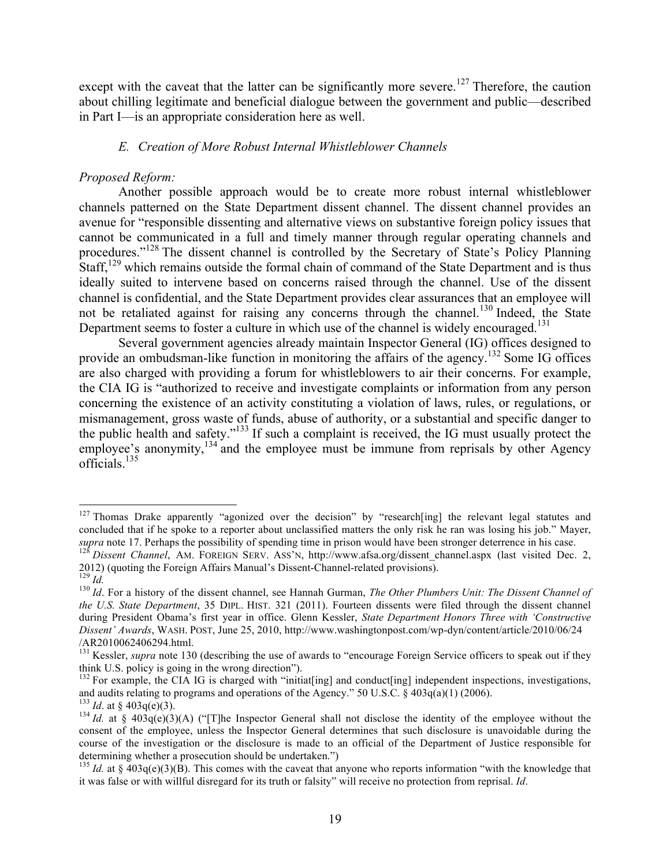except with the caveat that the latter can be significantly more severe.<sup>127</sup> Therefore, the caution about chilling legitimate and beneficial dialogue between the government and public—described in Part I—is an appropriate consideration here as well.

# *E. Creation of More Robust Internal Whistleblower Channels*

#### *Proposed Reform:*

Another possible approach would be to create more robust internal whistleblower channels patterned on the State Department dissent channel. The dissent channel provides an avenue for "responsible dissenting and alternative views on substantive foreign policy issues that cannot be communicated in a full and timely manner through regular operating channels and procedures."128 The dissent channel is controlled by the Secretary of State's Policy Planning Staff,<sup>129</sup> which remains outside the formal chain of command of the State Department and is thus ideally suited to intervene based on concerns raised through the channel. Use of the dissent channel is confidential, and the State Department provides clear assurances that an employee will not be retaliated against for raising any concerns through the channel.<sup>130</sup> Indeed, the State Department seems to foster a culture in which use of the channel is widely encouraged.<sup>131</sup>

Several government agencies already maintain Inspector General (IG) offices designed to provide an ombudsman-like function in monitoring the affairs of the agency.<sup>132</sup> Some IG offices are also charged with providing a forum for whistleblowers to air their concerns. For example, the CIA IG is "authorized to receive and investigate complaints or information from any person concerning the existence of an activity constituting a violation of laws, rules, or regulations, or mismanagement, gross waste of funds, abuse of authority, or a substantial and specific danger to the public health and safety."133 If such a complaint is received, the IG must usually protect the employee's anonymity, $134$  and the employee must be immune from reprisals by other Agency officials.135

<sup>&</sup>lt;sup>127</sup> Thomas Drake apparently "agonized over the decision" by "research[ing] the relevant legal statutes and concluded that if he spoke to a reporter about unclassified matters the only risk he ran was losing his job." Mayer, *supra* note 17. Perhaps the possibility of spending time in prison would have been stronger deterrence i

<sup>&</sup>lt;sup>128</sup> Dissent Channel, AM. FOREIGN SERV. ASS'N, http://www.afsa.org/dissent\_channel.aspx (last visited Dec. 2, 2012) (quoting the Foreign Affairs Manual's Dissent-Channel-related provisions).

<sup>2012) (</sup>quoting the Foreign Affairs Manual's Dissent-Channel Tenated provisions).<br><sup>129</sup> *Id.* 130 *Id.* For a history of the dissent channel, see Hannah Gurman, *The Other Plumbers Unit: The Dissent Channel of the U.S. State Department*, 35 DIPL. HIST. 321 (2011). Fourteen dissents were filed through the dissent channel during President Obama's first year in office. Glenn Kessler, *State Department Honors Three with 'Constructive Dissent' Awards*, WASH. POST, June 25, 2010, http://www.washingtonpost.com/wp-dyn/content/article/2010/06/24 /AR2010062406294.html.

<sup>&</sup>lt;sup>131</sup> Kessler, *supra* note 130 (describing the use of awards to "encourage Foreign Service officers to speak out if they think U.S. policy is going in the wrong direction").

<sup>&</sup>lt;sup>132</sup> For example, the CIA IG is charged with "initiat[ing] and conduct[ing] independent inspections, investigations, and audits relating to programs and operations of the Agency." 50 U.S.C. § 403q(a)(1) (2006).<br><sup>133</sup> *Id.* at § 403q(e)(3).

<sup>&</sup>lt;sup>134</sup> *Id.* at § 403q(e)(3)(A) ("[T]he Inspector General shall not disclose the identity of the employee without the consent of the employee, unless the Inspector General determines that such disclosure is unavoidable during the course of the investigation or the disclosure is made to an official of the Department of Justice responsible for determining whether a prosecution should be undertaken.")

<sup>&</sup>lt;sup>135</sup> *Id.* at § 403q(e)(3)(B). This comes with the caveat that anyone who reports information "with the knowledge that it was false or with willful disregard for its truth or falsity" will receive no protection from reprisal. *Id*.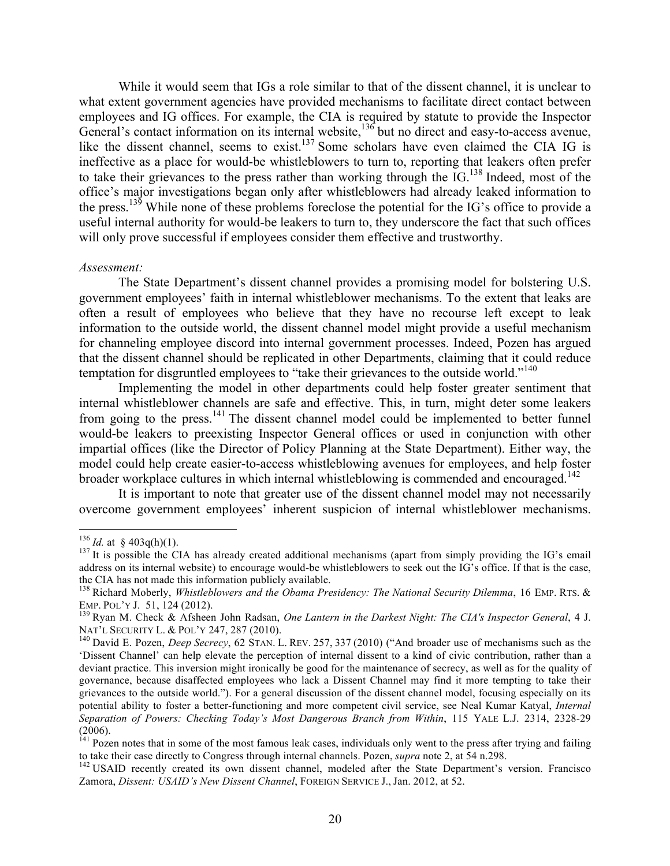While it would seem that IGs a role similar to that of the dissent channel, it is unclear to what extent government agencies have provided mechanisms to facilitate direct contact between employees and IG offices. For example, the CIA is required by statute to provide the Inspector General's contact information on its internal website,<sup>136</sup> but no direct and easy-to-access avenue, like the dissent channel, seems to exist.<sup>137</sup> Some scholars have even claimed the CIA IG is ineffective as a place for would-be whistleblowers to turn to, reporting that leakers often prefer to take their grievances to the press rather than working through the  $\overline{IG}$ .<sup>138</sup> Indeed, most of the office's major investigations began only after whistleblowers had already leaked information to the press.<sup>139</sup> While none of these problems foreclose the potential for the IG's office to provide a useful internal authority for would-be leakers to turn to, they underscore the fact that such offices will only prove successful if employees consider them effective and trustworthy.

#### *Assessment:*

The State Department's dissent channel provides a promising model for bolstering U.S. government employees' faith in internal whistleblower mechanisms. To the extent that leaks are often a result of employees who believe that they have no recourse left except to leak information to the outside world, the dissent channel model might provide a useful mechanism for channeling employee discord into internal government processes. Indeed, Pozen has argued that the dissent channel should be replicated in other Departments, claiming that it could reduce temptation for disgruntled employees to "take their grievances to the outside world."<sup>140</sup>

Implementing the model in other departments could help foster greater sentiment that internal whistleblower channels are safe and effective. This, in turn, might deter some leakers from going to the press.<sup>141</sup> The dissent channel model could be implemented to better funnel would-be leakers to preexisting Inspector General offices or used in conjunction with other impartial offices (like the Director of Policy Planning at the State Department). Either way, the model could help create easier-to-access whistleblowing avenues for employees, and help foster broader workplace cultures in which internal whistleblowing is commended and encouraged.<sup>142</sup>

It is important to note that greater use of the dissent channel model may not necessarily overcome government employees' inherent suspicion of internal whistleblower mechanisms.

<sup>&</sup>lt;sup>136</sup> *Id.* at § 403q(h)(1).<br><sup>137</sup> It is possible the CIA has already created additional mechanisms (apart from simply providing the IG's email address on its internal website) to encourage would-be whistleblowers to seek out the IG's office. If that is the case, the CIA has not made this information publicly available.

<sup>&</sup>lt;sup>138</sup> Richard Moberly, *Whistleblowers and the Obama Presidency: The National Security Dilemma*, 16 EMP. RTS. & EMP. POL'Y J. 51, 124 (2012).

<sup>&</sup>lt;sup>139</sup> Ryan M. Check & Afsheen John Radsan, *One Lantern in the Darkest Night: The CIA's Inspector General*, 4 J. NAT'L SECURITY L. & POL'Y 247, 287 (2010).<br><sup>140</sup> David E. Pozen, *Deep Secrecy*, 62 STAN. L. REV. 257, 337 (2010) ("And broader use of mechanisms such as the

<sup>&#</sup>x27;Dissent Channel' can help elevate the perception of internal dissent to a kind of civic contribution, rather than a deviant practice. This inversion might ironically be good for the maintenance of secrecy, as well as for the quality of governance, because disaffected employees who lack a Dissent Channel may find it more tempting to take their grievances to the outside world."). For a general discussion of the dissent channel model, focusing especially on its potential ability to foster a better-functioning and more competent civil service, see Neal Kumar Katyal, *Internal Separation of Powers: Checking Today's Most Dangerous Branch from Within*, 115 YALE L.J. 2314, 2328-29  $(2006)$ 

<sup>&</sup>lt;sup>141</sup> Pozen notes that in some of the most famous leak cases, individuals only went to the press after trying and failing to take their case directly to Congress through internal channels. Pozen, *supra* note 2, at 54 n.2

<sup>&</sup>lt;sup>142</sup> USAID recently created its own dissent channel, modeled after the State Department's version. Francisco Zamora, *Dissent: USAID's New Dissent Channel*, FOREIGN SERVICE J., Jan. 2012, at 52.